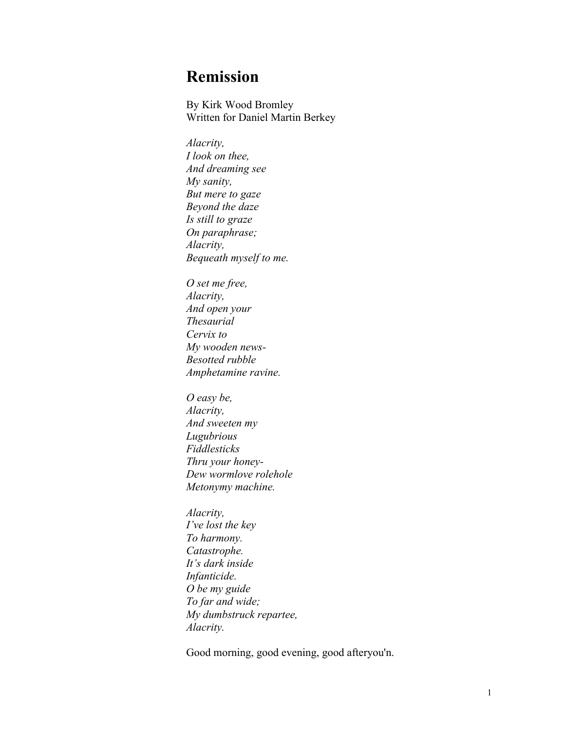## **Remission**

By Kirk Wood Bromley Written for Daniel Martin Berkey

*Alacrity, I look on thee, And dreaming see My sanity, But mere to gaze Beyond the daze Is still to graze On paraphrase; Alacrity, Bequeath myself to me.*

*O set me free, Alacrity, And open your Thesaurial Cervix to My wooden news-Besotted rubble Amphetamine ravine.*

*O easy be, Alacrity, And sweeten my Lugubrious Fiddlesticks Thru your honey-Dew wormlove rolehole Metonymy machine.*

*Alacrity, I've lost the key To harmony. Catastrophe. It's dark inside Infanticide. O be my guide To far and wide; My dumbstruck repartee, Alacrity.*

Good morning, good evening, good afteryou'n.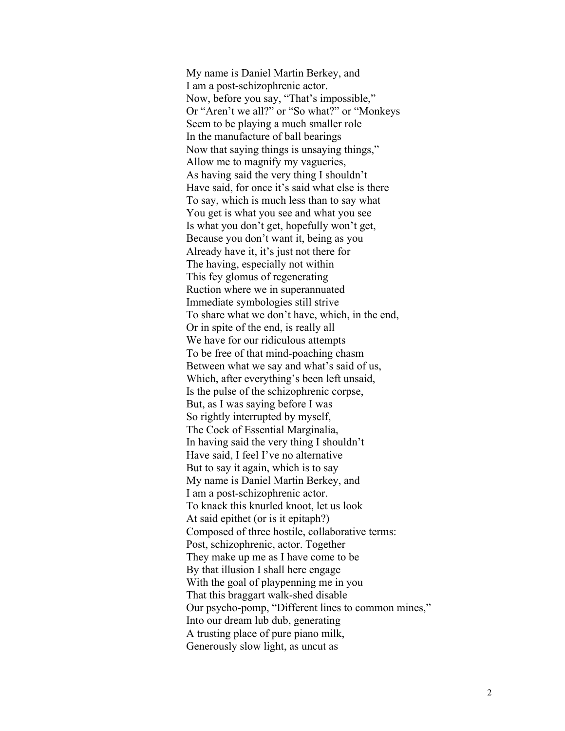My name is Daniel Martin Berkey, and I am a post-schizophrenic actor. Now, before you say, "That's impossible," Or "Aren't we all?" or "So what?" or "Monkeys Seem to be playing a much smaller role In the manufacture of ball bearings Now that saying things is unsaying things," Allow me to magnify my vagueries, As having said the very thing I shouldn't Have said, for once it's said what else is there To say, which is much less than to say what You get is what you see and what you see Is what you don't get, hopefully won't get, Because you don't want it, being as you Already have it, it's just not there for The having, especially not within This fey glomus of regenerating Ruction where we in superannuated Immediate symbologies still strive To share what we don't have, which, in the end, Or in spite of the end, is really all We have for our ridiculous attempts To be free of that mind-poaching chasm Between what we say and what's said of us, Which, after everything's been left unsaid, Is the pulse of the schizophrenic corpse, But, as I was saying before I was So rightly interrupted by myself, The Cock of Essential Marginalia, In having said the very thing I shouldn't Have said, I feel I've no alternative But to say it again, which is to say My name is Daniel Martin Berkey, and I am a post-schizophrenic actor. To knack this knurled knoot, let us look At said epithet (or is it epitaph?) Composed of three hostile, collaborative terms: Post, schizophrenic, actor. Together They make up me as I have come to be By that illusion I shall here engage With the goal of playpenning me in you That this braggart walk-shed disable Our psycho-pomp, "Different lines to common mines," Into our dream lub dub, generating A trusting place of pure piano milk, Generously slow light, as uncut as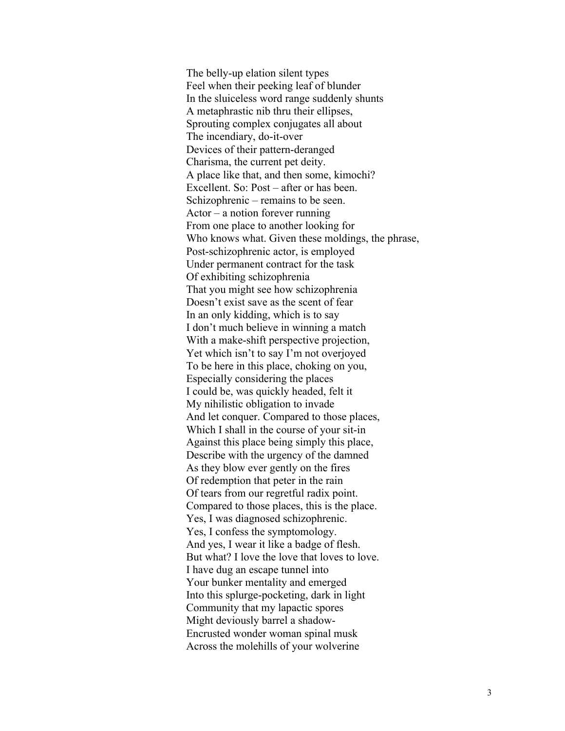The belly-up elation silent types Feel when their peeking leaf of blunder In the sluiceless word range suddenly shunts A metaphrastic nib thru their ellipses, Sprouting complex conjugates all about The incendiary, do-it-over Devices of their pattern-deranged Charisma, the current pet deity. A place like that, and then some, kimochi? Excellent. So: Post – after or has been. Schizophrenic – remains to be seen. Actor – a notion forever running From one place to another looking for Who knows what. Given these moldings, the phrase, Post-schizophrenic actor, is employed Under permanent contract for the task Of exhibiting schizophrenia That you might see how schizophrenia Doesn't exist save as the scent of fear In an only kidding, which is to say I don't much believe in winning a match With a make-shift perspective projection, Yet which isn't to say I'm not overjoyed To be here in this place, choking on you, Especially considering the places I could be, was quickly headed, felt it My nihilistic obligation to invade And let conquer. Compared to those places, Which I shall in the course of your sit-in Against this place being simply this place, Describe with the urgency of the damned As they blow ever gently on the fires Of redemption that peter in the rain Of tears from our regretful radix point. Compared to those places, this is the place. Yes, I was diagnosed schizophrenic. Yes, I confess the symptomology. And yes, I wear it like a badge of flesh. But what? I love the love that loves to love. I have dug an escape tunnel into Your bunker mentality and emerged Into this splurge-pocketing, dark in light Community that my lapactic spores Might deviously barrel a shadow-Encrusted wonder woman spinal musk Across the molehills of your wolverine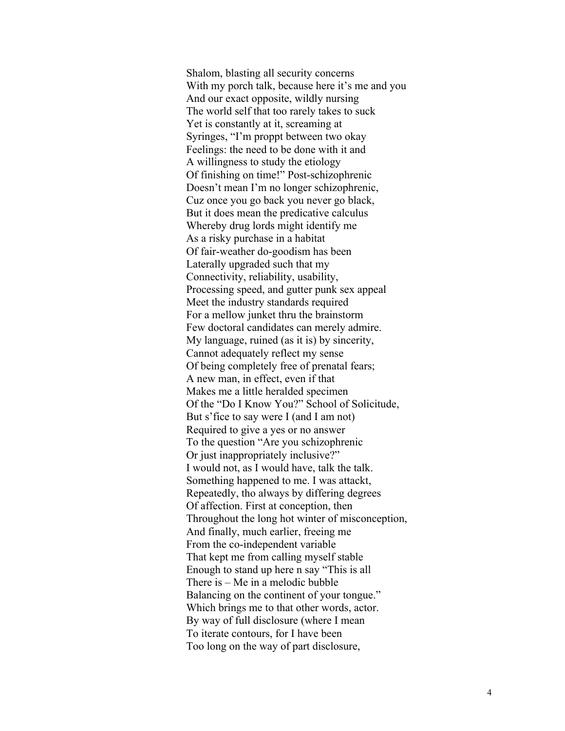Shalom, blasting all security concerns With my porch talk, because here it's me and you And our exact opposite, wildly nursing The world self that too rarely takes to suck Yet is constantly at it, screaming at Syringes, "I'm proppt between two okay Feelings: the need to be done with it and A willingness to study the etiology Of finishing on time!" Post -schizophrenic Doesn't mean I'm no longer schizophrenic, Cuz once you go back you never go black, But it does mean the predicative calculus Whereby drug lords might identify me As a risky purchase in a habitat Of fair -weather do -goodism has been Laterally upgraded such that my Connectivity, reliability, usability, Processing speed , and gutter punk sex appeal Meet the industry standards required For a mellow junket thru the brainstorm Few doctoral candidates can merely admire. My language, ruined (as it is) by sincerity, Cannot adequately reflect my sense Of being completely free of prenatal fears; A new man, in effect, even if that Makes me a little heralded specimen Of the "Do I Know You?" School of Solicitude, But s'fice to say were I (and I am not) Required to give a yes or no answer To the question "Are you schizophrenic Or just inappropriately inclusive?" I would not, as I would have, talk the talk. Something happened to me. I was attackt, Repeatedly, tho always by differing degrees Of affection. First at conception, then Throughout the long hot winter of misconception, And finally, much earlier, freeing me From the co -independent variable That kept me from calling myself stable Enough to stand up here n say "This is all There is – Me in a melodic bubble Balancing on the continent of your tongue." Which brings me to that other words, actor. By way of full disclosure (where I mean To iterate contours, for I have been Too long on the way of part disclosure,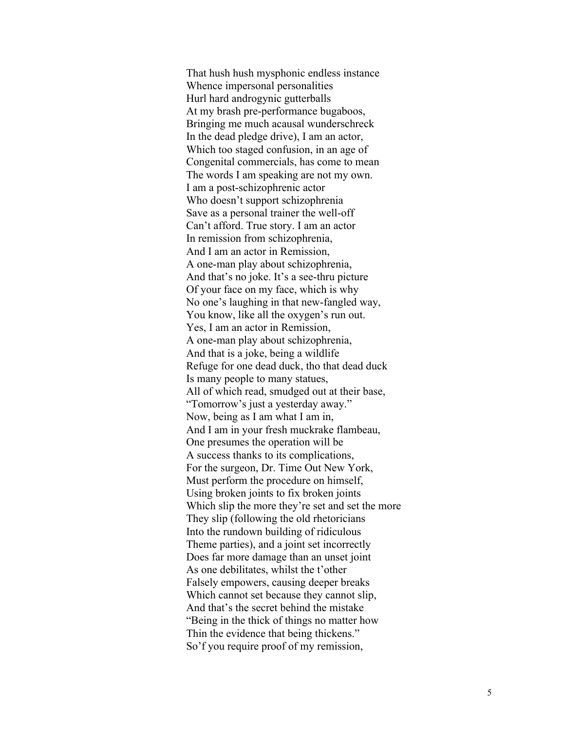That hush hush mysphonic endless instance Whence impersonal personalities Hurl hard androgynic gutterballs At my brash pre -performance bugaboos , Bringing me much acausal wunderschreck In the dead pledge drive), I am an actor, Which too staged confusion, in an age of Congenital commercials, has come to mean The words I am speaking are not my own. I am a post -schizophrenic actor Who doesn't support schizophrenia Save as a personal trainer the well -off Can't afford. True story. I am an actor In remission from schizophrenia , And I am an actor in Remission, A one -man play about schizophrenia , And that's no joke. It's a see -thru picture Of your face on my face, which is why No one's laughing in that new -fangled way, You know, like all the oxygen's run out. Yes, I am an actor in Remission, A one -man play about schizophrenia, And that is a joke, being a wildlife Refuge for one dead duck, tho that dead duck Is many people to many statues , All of which read, smudged out at their base, "Tomorrow's just a yesterday away." Now, being as I am what I am in, And I am in your fresh muckrake flambeau, One presumes the operation will be A success thanks to its complications, For the surgeon, Dr. Time Out New York, Must perform the procedure on himself, Using broken joints to fix broken joints Which slip the more they're set and set the more They slip (following the old rhetoricians Into the rundown building of ridiculous Theme parties), and a joint set incorrectly Does far more damage than an unset joint As one debilitates, whilst the t'other Falsely empowers, causing deeper breaks Which cannot set because they cannot slip, And that's the secret behind the mistake "Being in the thick of things no matter how Thin the evidence that being thickens." So'f you require proof of my remission,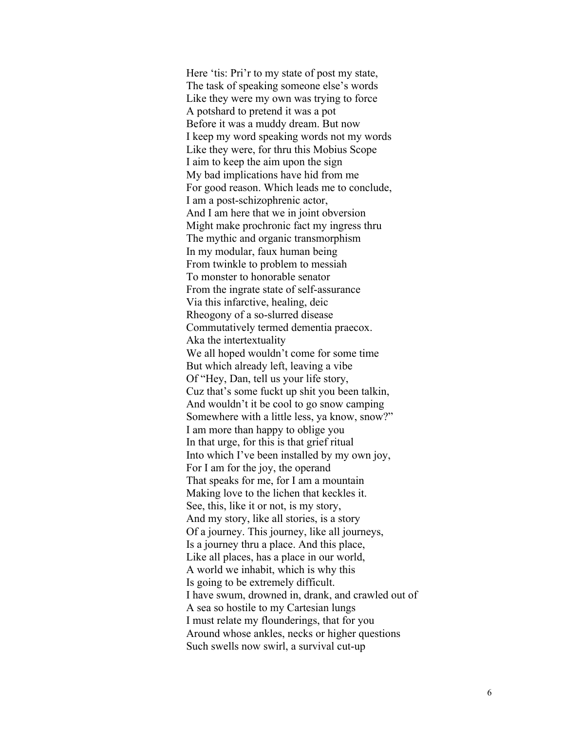Here 'tis: Pri'r to my state of post my state, The task of speaking someone else's words Like they were my own was trying to force A potshard to pretend it was a pot Before it was a muddy dream. But now I keep my word speaking words not my words Like they were, for thru this Mobius Scope I aim to keep the aim upon the sign My bad implications have hid from me For good reason. Which leads me to conclude, I am a post-schizophrenic actor, And I am here that we in joint obversion Might make prochronic fact my ingress thru The mythic and organic transmorphism In my modular, faux human being From twinkle to problem to messiah To monster to honorable senator From the ingrate state of self-assurance Via this infarctive, healing, deic Rheogony of a so-slurred disease Commutatively termed dementia praecox. Aka the intertextuality We all hoped wouldn't come for some time But which already left, leaving a vibe Of "Hey, Dan, tell us your life story, Cuz that's some fuckt up shit you been talkin, And wouldn't it be cool to go snow camping Somewhere with a little less, ya know, snow?" I am more than happy to oblige you In that urge, for this is that grief ritual Into which I've been installed by my own joy, For I am for the joy, the operand That speaks for me, for I am a mountain Making love to the lichen that keckles it. See, this, like it or not, is my story, And my story, like all stories, is a story Of a journey. This journey, like all journeys, Is a journey thru a place. And this place, Like all places, has a place in our world, A world we inhabit, which is why this Is going to be extremely difficult. I have swum, drowned in, drank, and crawled out of A sea so hostile to my Cartesian lungs I must relate my flounderings, that for you Around whose ankles, necks or higher questions Such swells now swirl, a survival cut-up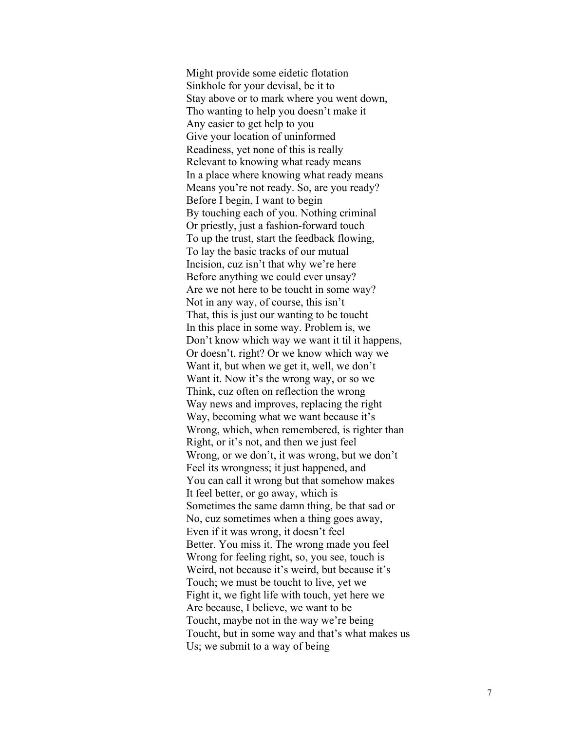Might provide some eidetic flotation Sinkhole for your devisal, be it to Stay above or to mark where you went down, Tho wanting to help you doesn't make it Any easier to get help to you Give your location of uninformed Readiness, yet none of this is really Relevant to knowing what ready mean s In a place where knowing what ready means Means you're not ready. So, are you ready? Before I begin, I want to begin By touching each of you. Nothing criminal Or priestly, just a fashion -forward touch To up the trust, start the feedback flowing, To lay the basic tracks of our mutual Incision, cuz isn't that why we're here Before anything we could ever unsay? Are we not here to be toucht in some way? Not in any way, of course, this isn't That, this is just our wanting to be toucht In this place in some way. Problem is, we Don't know which way we want it til it happens, Or doesn't, right? Or we know which way we Want it, but when we get it, well, we don't Want it. Now it's the wrong way, or so we Think, cuz often on reflection the wrong Way news and improves, replacing the right Way, becoming what we want because it's Wrong, which, when remembered, is righter than Right, or it's not, and then we just feel Wrong, or we don't, it was wrong, but we don't Feel its wrongness; it just happened, and You can call it wrong but that somehow makes It feel better, or go away, which is Sometimes the same damn thing, be that sad or No, cuz sometimes when a thing goes away, Even if it was wrong, it doesn't feel Better. You miss it. The wrong made you feel Wrong for feeling right, so, you see, touch is Weird, not because it's weird, but because it's Touch; we must be toucht to live, yet we Fight it, we fight life with touch, yet here we Are because, I believe, we want to be Toucht, maybe not in the way we're being Toucht, but in some way and that's what makes us Us; we submit to a way of being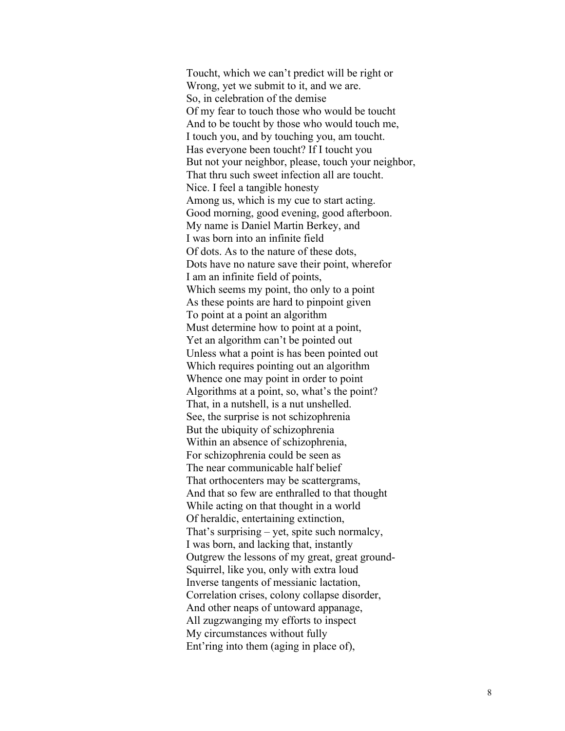Toucht, which we can't predict will be right or Wrong, yet we submit to it, and we are. So, in celebration of the demise Of my fear to touch those who would be toucht And to be toucht by those who would touch me, I touch you, and by touching you, am toucht. Has everyone been toucht? If I toucht you But not your neighbor, please, touch your neighbor, That thru such sweet infection all are toucht. Nice. I feel a tangible honesty Among us, which is my cue to start acting. Good morning, good evening, good afterboon. My name is Daniel Martin Berkey, and I was born into an infinite field Of dots. As to the nature of these dots, Dots have no nature save their point, wherefor I am an infinite field of points, Which seems my point, tho only to a point As these points are hard to pinpoint given To point at a point an algorithm Must determine how to point at a point, Yet an algorithm can't be pointed out Unless what a point is has been pointed out Which requires pointing out an algorithm Whence one may point in order to point Algorithms at a point, so, what's the point? That, in a nutshell, is a nut unshelled. See, the surprise is not schizophrenia But the ubiquity of schizophrenia Within an absence of schizophrenia, For schizophrenia could be seen as The near communicable half belief That orthocenters may be scattergrams, And that so few are enthralled to that thought While acting on that thought in a world Of heraldic, entertaining extinction, That's surprising – yet, spite such normalcy, I was born, and lacking that, instantly Outgrew the lessons of my great, great ground-Squirrel, like you, only with extra loud Inverse tangents of messianic lactation, Correlation crises, colony collapse disorder, And other neaps of untoward appanage, All zugzwanging my efforts to inspect My circumstances without fully Ent'ring into them (aging in place of),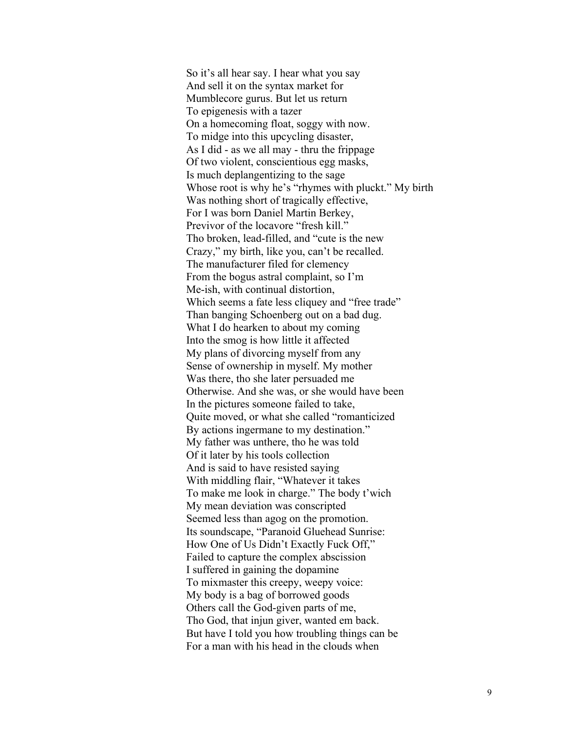So it's all hear say. I hear what you say And sell it on the syntax market for Mumblecore gurus. But let us return To epigenesis with a tazer On a homecoming float, soggy with now. To midge into this upcycling disaster, As I did - as we all may - thru the frippage Of two violent, conscientious egg masks, Is much deplangentizing to the sage Whose root is why he's "rhymes with pluckt." My birth Was nothing short of tragically effective, For I was born Daniel Martin Berkey, Previvor of the locavore "fresh kill." Tho broken, lead-filled, and "cute is the new Crazy," my birth, like you, can't be recalled. The manufacturer filed for clemency From the bogus astral complaint, so I'm Me-ish, with continual distortion, Which seems a fate less cliquey and "free trade" Than banging Schoenberg out on a bad dug. What I do hearken to about my coming Into the smog is how little it affected My plans of divorcing myself from any Sense of ownership in myself. My mother Was there, tho she later persuaded me Otherwise. And she was, or she would have been In the pictures someone failed to take, Quite moved, or what she called "romanticized By actions ingermane to my destination." My father was unthere, tho he was told Of it later by his tools collection And is said to have resisted saying With middling flair, "Whatever it takes To make me look in charge." The body t'wich My mean deviation was conscripted Seemed less than agog on the promotion. Its soundscape, "Paranoid Gluehead Sunrise: How One of Us Didn't Exactly Fuck Off," Failed to capture the complex abscission I suffered in gaining the dopamine To mixmaster this creepy, weepy voice: My body is a bag of borrowed goods Others call the God-given parts of me, Tho God, that injun giver, wanted em back. But have I told you how troubling things can be For a man with his head in the clouds when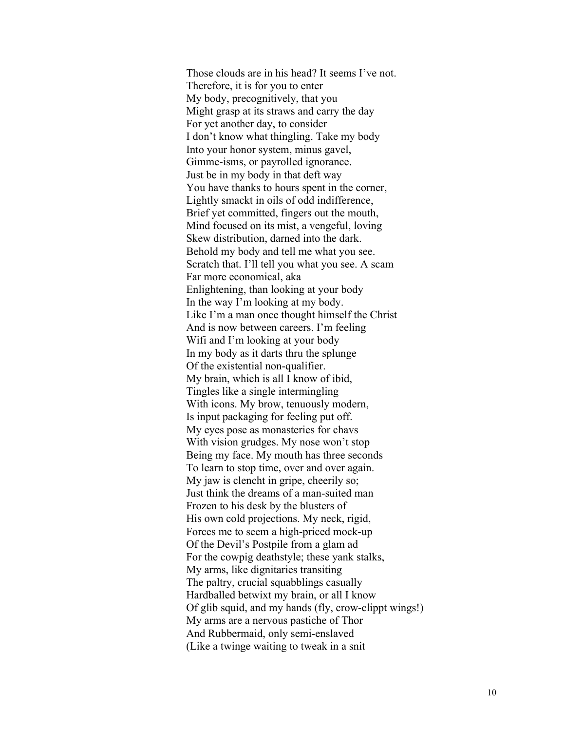Those clouds are in his head? It seems I've not. Therefore, it is for you to enter My body, precognitively, that you Might grasp at its straws and carry the day For yet another day, to consider I don't know what thingling. Take my body Into your honor system, minus gavel, Gimme-isms, or payrolled ignorance. Just be in my body in that deft way You have thanks to hours spent in the corner, Lightly smackt in oils of odd indifference, Brief yet committed, fingers out the mouth, Mind focused on its mist, a vengeful, loving Skew distribution, darned into the dark. Behold my body and tell me what you see. Scratch that. I'll tell you what you see. A scam Far more economical, aka Enlightening, than looking at your body In the way I'm looking at my body. Like I'm a man once thought himself the Christ And is now between careers. I'm feeling Wifi and I'm looking at your body In my body as it darts thru the splunge Of the existential non-qualifier. My brain, which is all I know of ibid, Tingles like a single intermingling With icons. My brow, tenuously modern, Is input packaging for feeling put off. My eyes pose as monasteries for chavs With vision grudges. My nose won't stop Being my face. My mouth has three seconds To learn to stop time, over and over again. My jaw is clencht in gripe, cheerily so; Just think the dreams of a man-suited man Frozen to his desk by the blusters of His own cold projections. My neck, rigid, Forces me to seem a high-priced mock-up Of the Devil's Postpile from a glam ad For the cowpig deathstyle; these yank stalks, My arms, like dignitaries transiting The paltry, crucial squabblings casually Hardballed betwixt my brain, or all I know Of glib squid, and my hands (fly, crow-clippt wings!) My arms are a nervous pastiche of Thor And Rubbermaid, only semi-enslaved (Like a twinge waiting to tweak in a snit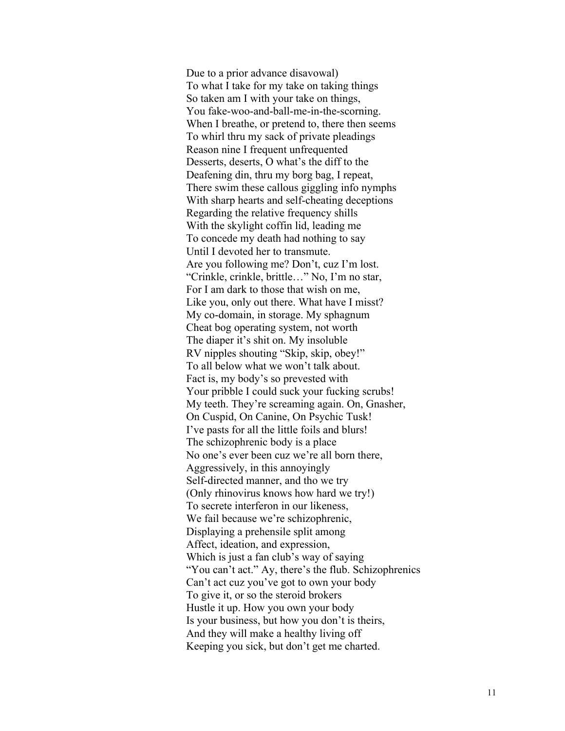Due to a prior advance disavowal) To what I take for my take on taking things So taken am I with your take on things, You fake-woo-and-ball-me-in-the-scorning. When I breathe, or pretend to, there then seems To whirl thru my sack of private pleadings Reason nine I frequent unfrequented Desserts, deserts, O what's the diff to the Deafening din, thru my borg bag, I repeat, There swim these callous giggling info nymphs With sharp hearts and self-cheating deceptions Regarding the relative frequency shills With the skylight coffin lid, leading me To concede my death had nothing to say Until I devoted her to transmute. Are you following me? Don't, cuz I'm lost. "Crinkle, crinkle, brittle…" No, I'm no star, For I am dark to those that wish on me, Like you, only out there. What have I misst? My co-domain, in storage. My sphagnum Cheat bog operating system, not worth The diaper it's shit on. My insoluble RV nipples shouting "Skip, skip, obey!" To all below what we won't talk about. Fact is, my body's so prevested with Your pribble I could suck your fucking scrubs! My teeth. They're screaming again. On, Gnasher, On Cuspid, On Canine, On Psychic Tusk! I've pasts for all the little foils and blurs! The schizophrenic body is a place No one's ever been cuz we're all born there, Aggressively, in this annoyingly Self-directed manner, and tho we try (Only rhinovirus knows how hard we try!) To secrete interferon in our likeness, We fail because we're schizophrenic, Displaying a prehensile split among Affect, ideation, and expression, Which is just a fan club's way of saying "You can't act." Ay, there's the flub. Schizophrenics Can't act cuz you've got to own your body To give it, or so the steroid brokers Hustle it up. How you own your body Is your business, but how you don't is theirs, And they will make a healthy living off Keeping you sick, but don't get me charted.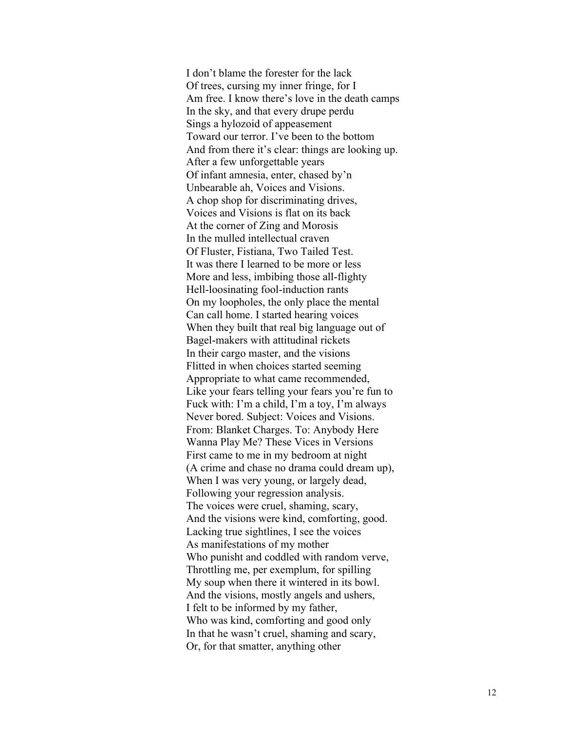I don't blame the forester for the lack Of trees, cursing my inner fringe, for I Am free. I know there's love in the death camps In the sky, and that every drupe perdu Sings a hylozoid of appeasement Toward our terror. I've been to the bottom And from there it's clear: things are looking up. After a few unforgettable years Of infant amnesia, enter, chased by'n Unbearable ah, Voices and Visions. A chop shop for discriminating drives, Voices and Visions is flat on its back At the corner of Zing and Morosis In the mulled intellectual craven Of Fluster, Fistiana, Two Tailed Test. It was there I learned to be more or less More and less, imbibing those all -flighty Hell -loosinating fool -induction rants On my loopholes, the only place the mental Can call home. I started hearing voices When they built that real big language out of Bagel-makers with attitudinal rickets In their cargo master, and the visions Flitted in when choices started seeming Appropriate to what came recommended, Like your fears telling your fears you're fun to Fuck with: I'm a child, I'm a toy, I'm always Never bored. Subject: Voices and Visions. From: Blanket Charges. To: Anybody Here Wanna Play Me? These Vices in Versions First came to me in my bedroom at night (A crime and chase no drama could dream up), When I was very young, or largely dead, Following your regression analysis. The voices were cruel, shaming, scary, And the visions were kind, comforting, good. Lacking true sightlines, I see the voices As manifestations of my mother Who punisht and coddled with random verve, Throttling me, per exemplum, for spilling My soup when there it wintered in its bowl. And the visions, mostly angels and ushers, I felt to be informed by my father, Who was kind, comforting and good only In that he wasn't cruel, shaming and scary, Or, for that smatter, anything other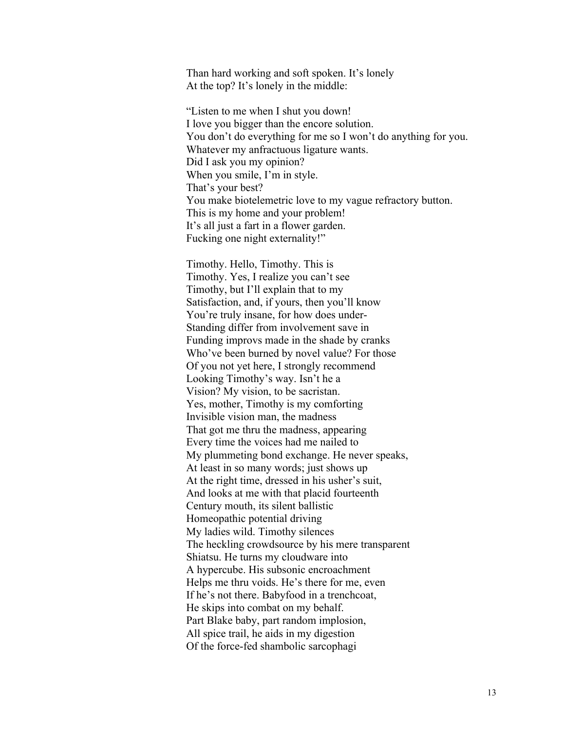Than hard working and soft spoken. It's lonely At the top? It's lonely in the middle:

"Listen to me when I shut you down! I love you bigger than the encore solution. You don't do everything for me so I won't do anything for you. Whatever my anfractuous ligature wants. Did I ask you my opinion? When you smile, I'm in style. That's your best? You make biotelemetric love to my vague refractory button. This is my home and your problem! It's all just a fart in a flower garden. Fucking one night externality!"

Timothy. Hello, Timothy. This is Timothy. Yes, I realize you can't see Timothy, but I'll explain that to my Satisfaction, and, if yours, then you'll know You're truly insane, for how does under-Standing differ from involvement save in Funding improvs made in the shade by cranks Who've been burned by novel value? For those Of you not yet here, I strongly recommend Looking Timothy's way. Isn't he a Vision? My vision, to be sacristan. Yes, mother, Timothy is my comforting Invisible vision man, the madness That got me thru the madness, appearing Every time the voices had me nailed to My plummeting bond exchange. He never speaks, At least in so many words; just shows up At the right time, dressed in his usher's suit, And looks at me with that placid fourteenth Century mouth, its silent ballistic Homeopathic potential driving My ladies wild. Timothy silences The heckling crowdsource by his mere transparent Shiatsu. He turns my cloudware into A hypercube. His subsonic encroachment Helps me thru voids. He's there for me, even If he's not there. Babyfood in a trenchcoat, He skips into combat on my behalf. Part Blake baby, part random implosion, All spice trail, he aids in my digestion Of the force-fed shambolic sarcophagi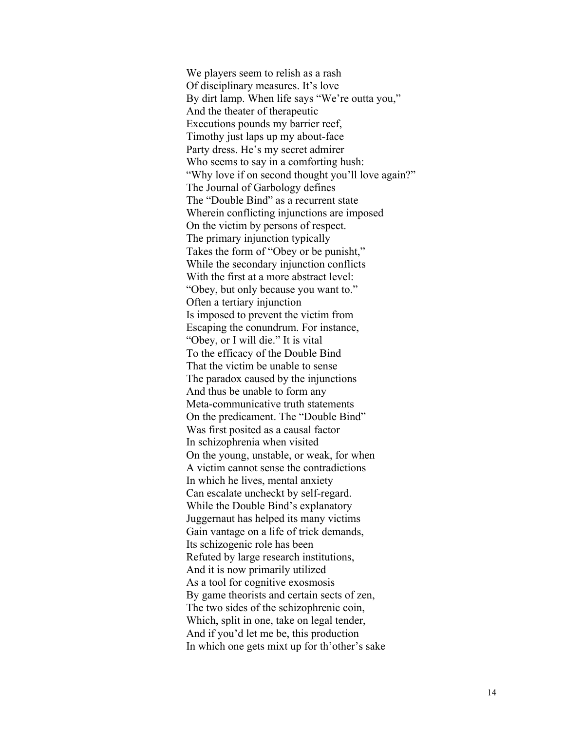We players seem to relish as a rash Of disciplinary measures. It's love By dirt lamp. When life says "We're outta you," And the theater of therapeutic Executions pounds my barrier reef, Timothy just laps up my about-face Party dress. He's my secret admirer Who seems to say in a comforting hush: "Why love if on second thought you'll love again?" The Journal of Garbology defines The "Double Bind" as a recurrent state Wherein conflicting injunctions are imposed On the victim by persons of respect. The primary injunction typically Takes the form of "Obey or be punisht," While the secondary injunction conflicts With the first at a more abstract level: "Obey, but only because you want to." Often a tertiary injunction Is imposed to prevent the victim from Escaping the conundrum. For instance, "Obey, or I will die." It is vital To the efficacy of the Double Bind That the victim be unable to sense The paradox caused by the injunctions And thus be unable to form any Meta-communicative truth statements On the predicament. The "Double Bind" Was first posited as a causal factor In schizophrenia when visited On the young, unstable, or weak, for when A victim cannot sense the contradictions In which he lives, mental anxiety Can escalate uncheckt by self-regard. While the Double Bind's explanatory Juggernaut has helped its many victims Gain vantage on a life of trick demands, Its schizogenic role has been Refuted by large research institutions, And it is now primarily utilized As a tool for cognitive exosmosis By game theorists and certain sects of zen, The two sides of the schizophrenic coin, Which, split in one, take on legal tender, And if you'd let me be, this production In which one gets mixt up for th'other's sake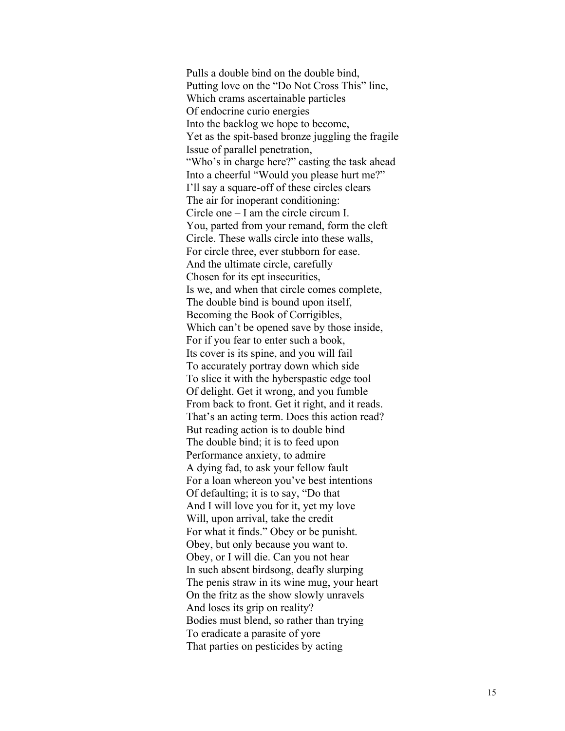Pulls a double bind on the double bind, Putting love on the "Do Not Cross This" line, Which crams ascertainable particles Of endocrine curio energies Into the backlog we hope to become, Yet as the spit -based bronze juggling the fragile Issue of parallel penetration, "Who's in charge here?" casting the task ahead Into a cheerful "Would you please hurt me?" I'll say a square -off of these circles clears The air for inoperant conditioning: Circle one – I am the circle circum I. You, parted from your remand, form the cleft Circle. These walls circle into these walls, For circle three, ever stubborn for ease. And the ultimate circle, carefully Chosen for its ept insecurities, Is we, and when that circle comes complete, The double bind is bound upon itself, Becoming the Book of Corrigibles, Which can't be opened save by those inside, For if you fear to enter such a book, Its cover is its spine, and you will fail To accurately portray down which side To slice it with the hyberspastic edge tool Of delight. Get it wrong, and you fumble From back to front. Get it right, and it reads. That's an acting term. Does this action read? But reading action is to double bind The double bind; it is to feed upon Performance anxiety, to admire A dying fad, to ask your fellow fault For a loan whereon you've best intentions Of defaulting; it is to say, "Do that And I will love you for it, yet my love Will, upon arrival, take the credit For what it finds." Obey or be punisht. Obey, but only because you want to. Obey, or I will die. Can you not hear In such absent birdsong, deafly slurping The penis straw in its wine mug, your heart On the fritz as the show slowly unravels And loses its grip on reality? Bodies must blend, so rather than trying To eradicate a parasite of yore That parties on pesticides by acting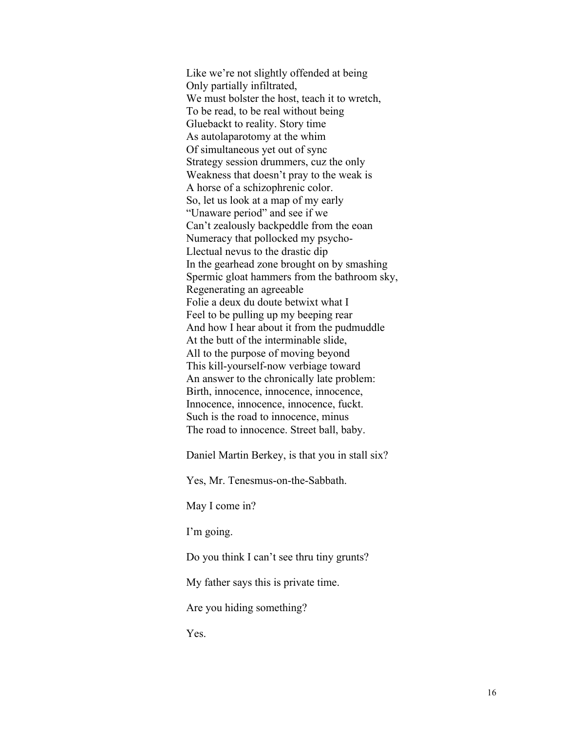Like we're not slightly offended at being Only partially infiltrated, We must bolster the host, teach it to wretch, To be read, to be real without being Gluebackt to reality. Story time As autolaparotomy at the whim Of simultaneous yet out of sync Strategy session drummers, cuz the only Weakness that doesn't pray to the weak is A horse of a schizophrenic color. So, let us look at a map of my early "Unaware period" and see if we Can't zealously backpeddle from the eoan Numeracy that pollocked my psycho-Llectual nevus to the drastic dip In the gearhead zone brought on by smashing Spermic gloat hammers from the bathroom sky, Regenerating an agreeable Folie a deux du doute betwixt what I Feel to be pulling up my beeping rear And how I hear about it from the pudmuddle At the butt of the interminable slide, All to the purpose of moving beyond This kill-yourself-now verbiage toward An answer to the chronically late problem: Birth, innocence, innocence, innocence, Innocence, innocence, innocence, fuckt. Such is the road to innocence, minus The road to innocence. Street ball, baby.

Daniel Martin Berkey, is that you in stall six?

Yes, Mr. Tenesmus-on-the-Sabbath.

May I come in?

I'm going.

Do you think I can't see thru tiny grunts?

My father says this is private time.

Are you hiding something?

Yes.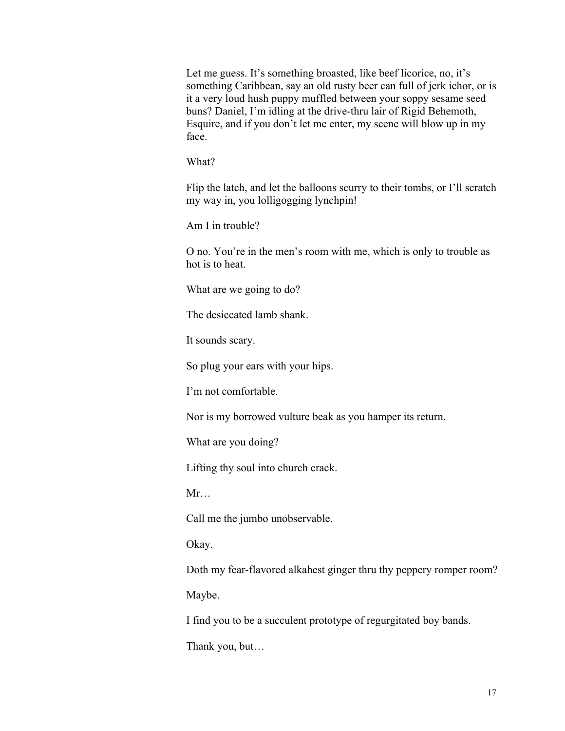Let me guess. It's something broasted, like beef licorice, no, it's something Caribbean, say an old rusty beer can full of jerk ichor, or is it a very loud hush puppy muffled between your soppy sesame seed buns? Daniel, I'm idling at the drive-thru lair of Rigid Behemoth, Esquire, and if you don't let me enter, my scene will blow up in my face.

What?

Flip the latch, and let the balloons scurry to their tombs, or I'll scratch my way in, you lolligogging lynchpin!

Am I in trouble?

O no. You're in the men's room with me, which is only to trouble as hot is to heat.

What are we going to do?

The desiccated lamb shank.

It sounds scary.

So plug your ears with your hips.

I'm not comfortable.

Nor is my borrowed vulture beak as you hamper its return.

What are you doing?

Lifting thy soul into church crack.

Mr…

Call me the jumbo unobservable.

Okay.

Doth my fear-flavored alkahest ginger thru thy peppery romper room? Maybe.

I find you to be a succulent prototype of regurgitated boy bands.

Thank you, but…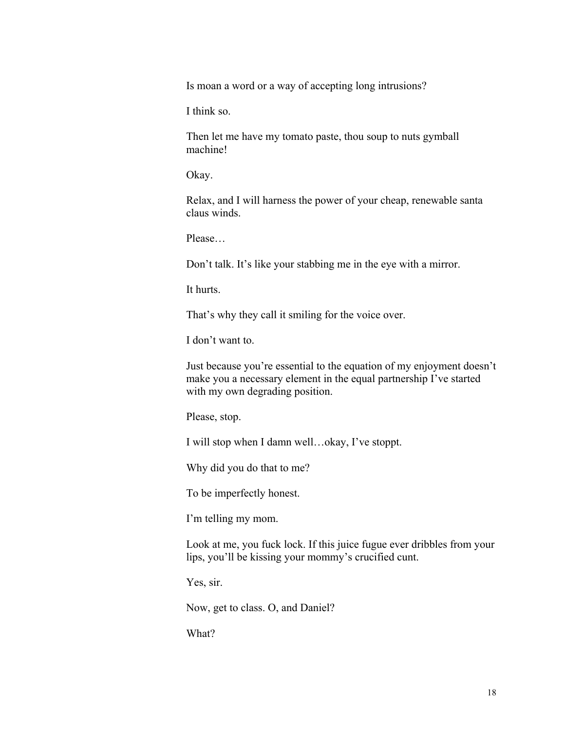Is moan a word or a way of accepting long intrusions?

I think so.

Then let me have my tomato paste, thou soup to nuts gymball machine!

Okay.

Relax, and I will harness the power of your cheap, renewable santa claus winds.

Please…

Don't talk. It's like your stabbing me in the eye with a mirror.

It hurts.

That's why they call it smiling for the voice over.

I don't want to.

Just because you're essential to the equation of my enjoyment doesn't make you a necessary element in the equal partnership I've started with my own degrading position.

Please, stop.

I will stop when I damn well…okay, I've stoppt.

Why did you do that to me?

To be imperfectly honest.

I'm telling my mom.

Look at me, you fuck lock. If this juice fugue ever dribbles from your lips, you'll be kissing your mommy's crucified cunt.

Yes, sir.

Now, get to class. O, and Daniel?

What?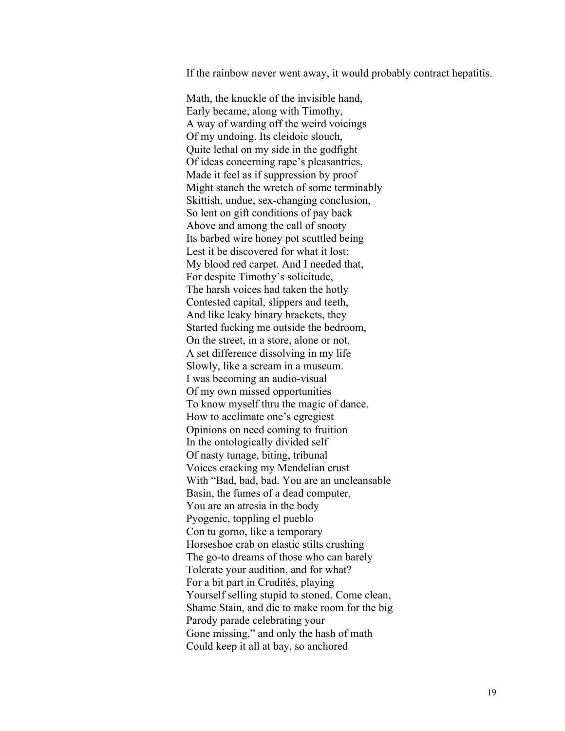If the rainbow never went away, it would probably contract hepatitis.

Math, the knuckle of the invisible hand, Early became, along with Timothy, A way of warding off the weird voicings Of my undoing. Its cleidoic slouch, Quite lethal on my side in the godfight Of ideas concerning rape's pleasantries, Made it feel as if suppression by proof Might stanch the wretch of some terminably Skittish, undue, sex-changing conclusion, So lent on gift conditions of pay back Above and among the call of snooty Its barbed wire honey pot scuttled being Lest it be discovered for what it lost: My blood red carpet. And I needed that, For despite Timothy's solicitude, The harsh voices had taken the hotly Contested capital, slippers and teeth, And like leaky binary brackets, they Started fucking me outside the bedroom, On the street, in a store, alone or not, A set difference dissolving in my life Slowly, like a scream in a museum. I was becoming an audio-visual Of my own missed opportunities To know myself thru the magic of dance. How to acclimate one's egregiest Opinions on need coming to fruition In the ontologically divided self Of nasty tunage, biting, tribunal Voices cracking my Mendelian crust With "Bad, bad, bad. You are an uncleansable Basin, the fumes of a dead computer, You are an atresia in the body Pyogenic, toppling el pueblo Con tu gorno, like a temporary Horseshoe crab on elastic stilts crushing The go-to dreams of those who can barely Tolerate your audition, and for what? For a bit part in Crudités, playing Yourself selling stupid to stoned. Come clean, Shame Stain, and die to make room for the big Parody parade celebrating your Gone missing," and only the hash of math Could keep it all at bay, so anchored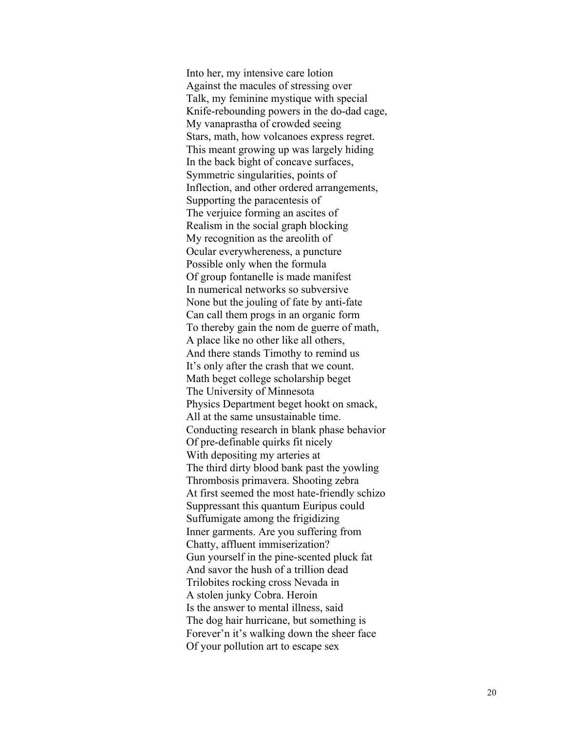Into her, my intensive care lotion Against the macules of stressing over Talk, my feminine mystique with special Knife -rebounding powers in the do -dad cage, My vanaprastha of crowded seeing Stars, math, how volcanoes express regret. This meant growing up was largely hiding In the back bight of concave surfaces, Symmetric singularities, points of Inflection, and other ordered arrangements, Supporting the paracentesis of The verjuice forming an ascites of Realism in the social graph blocking My recognition as the areolith of Ocular everywhereness, a puncture Possible only when the formula Of group fontanelle is made manifest In numerical networks so subversive None but the jouling of fate by anti -fate Can call them progs in an organic form To thereby gain the nom de guerre of math, A place like no other like all others, And there stands Timothy to remind us It's only after the crash that we count. Math beget college scholarship beget The University of Minnesota Physics Department beget hookt on smack, All at the same unsustainable time. Conducting research in blank phase behavior Of pre -definable quirks fit nicely With depositing my arteries at The third dirty blood bank past the yowling Thrombosis primavera. Shooting zebra At first seemed the most hate -friendly schizo Suppressant this quantum Euripus could Suffumigate among the frigidizing Inner garments. Are you suffering from Chatty, affluent immiserization? Gun yourself in the pine -scented pluck fat And savor the hush of a trillion dead Trilobites rocking cross Nevada in A stolen junky Cobra. Heroin Is the answer to mental illness, said The dog hair hurricane, but something is Forever'n it's walking down the sheer face Of your pollution art to escape sex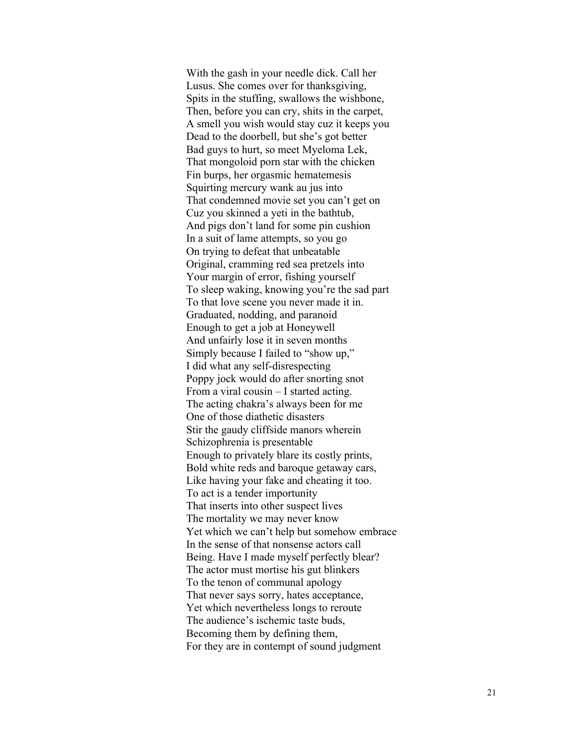With the gash in your needle dick. Call her Lusus. She comes over for thanksgiving, Spits in the stuffing, swallows the wishbone, Then, before you can cry, shits in the carpet, A smell you wish would stay cuz it keeps you Dead to the doorbell, but she's got better Bad guys to hurt, so meet Myeloma Lek, That mongoloid porn star with the chicken Fin burps, her orgasmic hematemesis Squirting mercury wank au jus into That condemned movie set you can't get on Cuz you skinned a yeti in the bathtub , And pigs don't land for some pin cushion In a suit of lame attempts, so you go On trying to defeat that unbeatable Original, cramming red sea pretzels into Your margin of error, fishing yourself To sleep waking, knowing you're the sad part To that love scene you never made it in. Graduated, nodding, and paranoid Enough to get a job at Honeywell And unfairly lose it in seven months Simply because I failed to "show up," I did what any self-disrespecting Poppy jock would do after snorting snot From a viral cousin – I started acting. The acting chakra's always been for me One of those diathetic disasters Stir the gaudy cliffside manors wherein Schizophrenia is presentable Enough to privately blare its costly prints, Bold white reds and baroque getaway cars, Like having your fake and cheating it too. To act is a tender importunity That inserts into other suspect lives The mortality we may never know Yet which we can't help but somehow embrace In the sense of that nonsense actors call Being. Have I made myself perfectly blear? The actor must mortise his gut blinkers To the tenon of communal apology That never says sorry, hates acceptance, Yet which nevertheless longs to reroute The audience's ischemic taste buds, Becoming them by defining them, For they are in contempt of sound judgment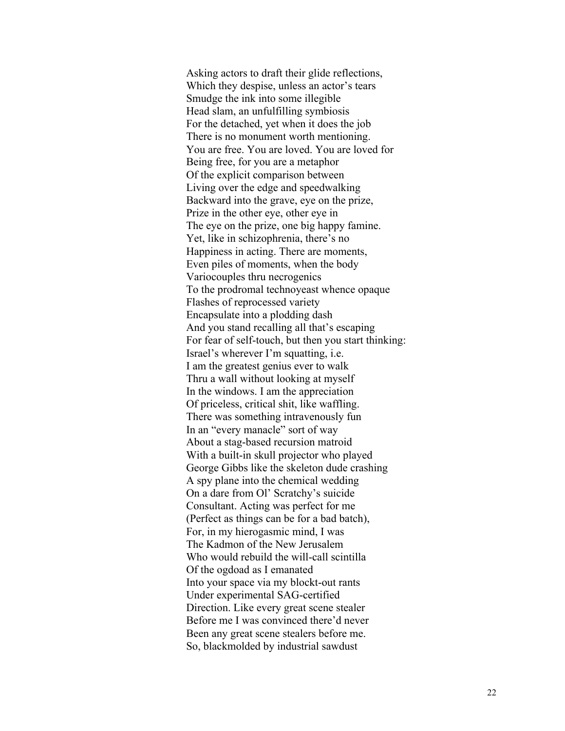Asking actors to draft their glide reflections, Which they despise, unless an actor's tears Smudge the ink into some illegible Head slam, an unfulfilling symbiosis For the detached, yet when it does the job There is no monument worth mentioning. You are free. You are loved. You are loved for Being free, for you are a metaphor Of the explicit comparison between Living over the edge and speedwalking Backward into the grave, eye on the prize, Prize in the other eye, other eye in The eye on the prize, one big happy famine. Yet, like in schizophrenia, there's no Happiness in acting. There are moments, Even piles of moments, when the body Variocouples thru necrogenics To the prodromal technoyeast whence opaque Flashes of reprocessed variety Encapsulate into a plodding dash And you stand recalling all that's escaping For fear of self-touch, but then you start thinking: Israel's wherever I'm squatting, i.e. I am the greatest genius ever to walk Thru a wall without looking at myself In the windows. I am the appreciation Of priceless, critical shit, like waffling. There was something intravenously fun In an "every manacle" sort of way About a stag-based recursion matroid With a built-in skull projector who played George Gibbs like the skeleton dude crashing A spy plane into the chemical wedding On a dare from Ol' Scratchy's suicide Consultant. Acting was perfect for me (Perfect as things can be for a bad batch), For, in my hierogasmic mind, I was The Kadmon of the New Jerusalem Who would rebuild the will-call scintilla Of the ogdoad as I emanated Into your space via my blockt-out rants Under experimental SAG-certified Direction. Like every great scene stealer Before me I was convinced there'd never Been any great scene stealers before me. So, blackmolded by industrial sawdust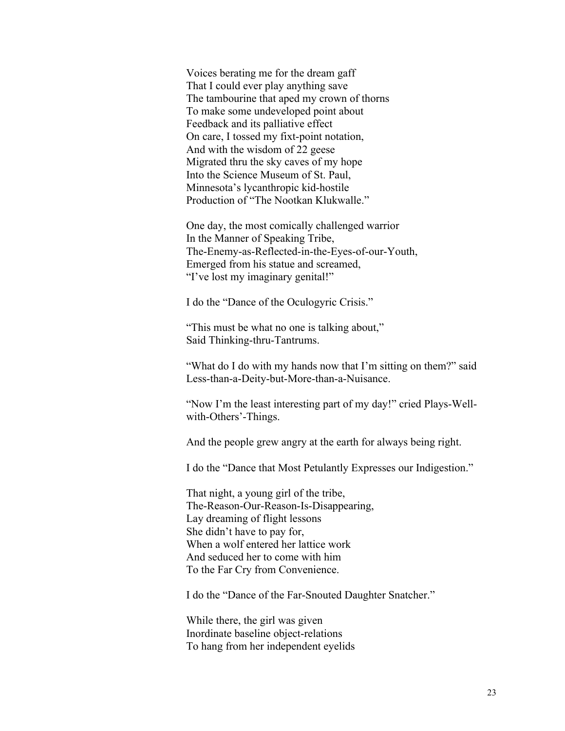Voices berating me for the dream gaff That I could ever play anything save The tambourine that aped my crown of thorns To make some undeveloped point about Feedback and its palliative effect On care, I tossed my fixt-point notation, And with the wisdom of 22 geese Migrated thru the sky caves of my hope Into the Science Museum of St. Paul, Minnesota's lycanthropic kid-hostile Production of "The Nootkan Klukwalle."

One day, the most comically challenged warrior In the Manner of Speaking Tribe, The-Enemy-as-Reflected-in-the-Eyes-of-our-Youth, Emerged from his statue and screamed, "I've lost my imaginary genital!"

I do the "Dance of the Oculogyric Crisis."

"This must be what no one is talking about," Said Thinking-thru-Tantrums.

"What do I do with my hands now that I'm sitting on them?" said Less-than-a-Deity-but-More-than-a-Nuisance.

"Now I'm the least interesting part of my day!" cried Plays-Wellwith-Others'-Things.

And the people grew angry at the earth for always being right.

I do the "Dance that Most Petulantly Expresses our Indigestion."

That night, a young girl of the tribe, The-Reason-Our-Reason-Is-Disappearing, Lay dreaming of flight lessons She didn't have to pay for, When a wolf entered her lattice work And seduced her to come with him To the Far Cry from Convenience.

I do the "Dance of the Far-Snouted Daughter Snatcher."

While there, the girl was given Inordinate baseline object-relations To hang from her independent eyelids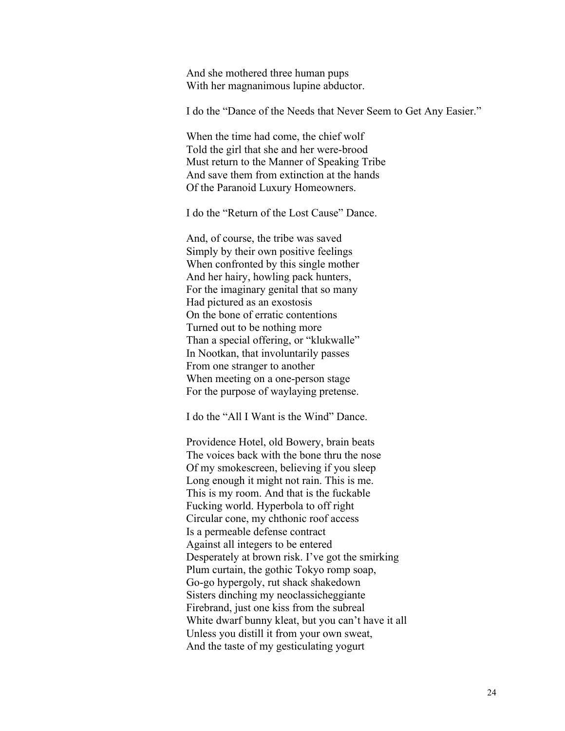And she mothered three human pups With her magnanimous lupine abductor.

I do the "Dance of the Needs that Never Seem to Get Any Easier."

When the time had come, the chief wolf Told the girl that she and her were-brood Must return to the Manner of Speaking Tribe And save them from extinction at the hands Of the Paranoid Luxury Homeowners.

I do the "Return of the Lost Cause" Dance.

And, of course, the tribe was saved Simply by their own positive feelings When confronted by this single mother And her hairy, howling pack hunters, For the imaginary genital that so many Had pictured as an exostosis On the bone of erratic contentions Turned out to be nothing more Than a special offering, or "klukwalle" In Nootkan, that involuntarily passes From one stranger to another When meeting on a one-person stage For the purpose of waylaying pretense.

I do the "All I Want is the Wind" Dance.

Providence Hotel, old Bowery, brain beats The voices back with the bone thru the nose Of my smokescreen, believing if you sleep Long enough it might not rain. This is me. This is my room. And that is the fuckable Fucking world. Hyperbola to off right Circular cone, my chthonic roof access Is a permeable defense contract Against all integers to be entered Desperately at brown risk. I've got the smirking Plum curtain, the gothic Tokyo romp soap, Go-go hypergoly, rut shack shakedown Sisters dinching my neoclassicheggiante Firebrand, just one kiss from the subreal White dwarf bunny kleat, but you can't have it all Unless you distill it from your own sweat, And the taste of my gesticulating yogurt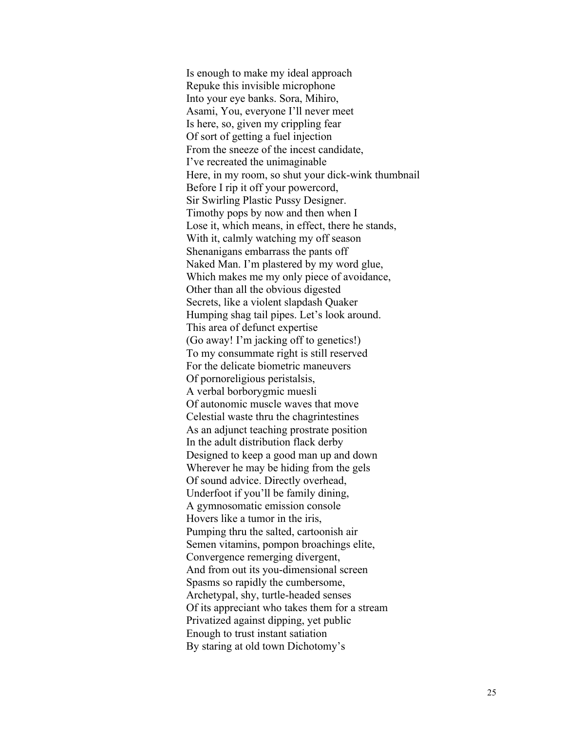Is enough to make my ideal approach Repuke this invisible microphone Into your eye banks. Sora, Mihiro, Asami, You, everyone I'll never meet Is here, so, given my crippling fear Of sort of getting a fuel injection From the sneeze of the incest candidate, I've recreated the unimaginable Here, in my room, so shut your dick-wink thumbnail Before I rip it off your powercord, Sir Swirling Plastic Pussy Designer. Timothy pops by now and then when I Lose it, which means, in effect, there he stands, With it, calmly watching my off season Shenanigans embarrass the pants off Naked Man. I'm plastered by my word glue, Which makes me my only piece of avoidance, Other than all the obvious digested Secrets, like a violent slapdash Quaker Humping shag tail pipes. Let's look around. This area of defunct expertise (Go away! I'm jacking off to genetics!) To my consummate right is still reserved For the delicate biometric maneuvers Of pornoreligious peristalsis, A verbal borborygmic muesli Of autonomic muscle waves that move Celestial waste thru the chagrintestines As an adjunct teaching prostrate position In the adult distribution flack derby Designed to keep a good man up and down Wherever he may be hiding from the gels Of sound advice. Directly overhead, Underfoot if you'll be family dining, A gymnosomatic emission console Hovers like a tumor in the iris, Pumping thru the salted, cartoonish air Semen vitamins, pompon broachings elite, Convergence remerging divergent, And from out its you-dimensional screen Spasms so rapidly the cumbersome, Archetypal, shy, turtle-headed senses Of its appreciant who takes them for a stream Privatized against dipping, yet public Enough to trust instant satiation By staring at old town Dichotomy's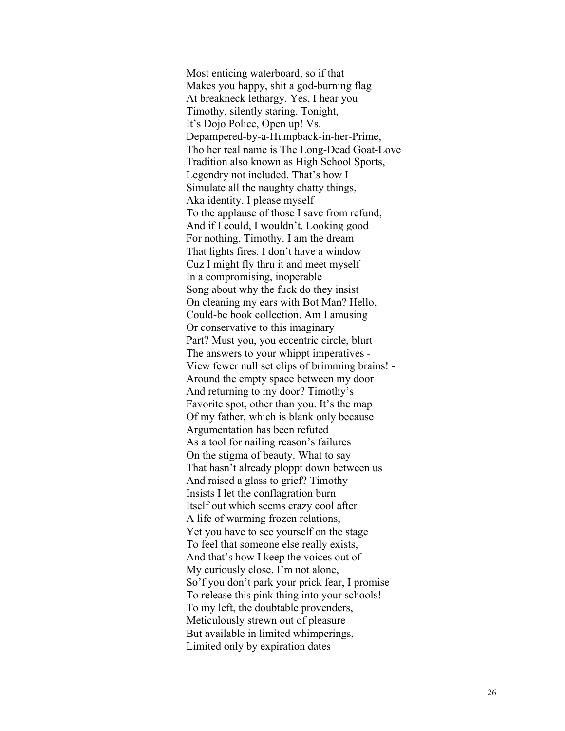Most enticing waterboard, so if that Makes you happy, shit a god -burning flag At breakneck lethargy. Yes, I hear you Timothy, silently staring. Tonight, It's Dojo Police, Open up! Vs. Depampered -by - a -Humpback -in -her -Prime, Tho her real name is The Long -Dead Goat -Love Tradition also known as High School Sports, Legendry not included. That's how I Simulate all the naughty chatty things, Aka identity. I please myself To the applause of those I save from refund, And if I could, I wouldn't. Looking good For nothing, Timothy. I am the dream That lights fires. I don't have a window Cuz I might fly thru it and meet myself In a compromising, inoperable Song about why the fuck do they insist On cleaning my ears with Bot Man? Hello, Could -be book collection. Am I amusing Or conservative to this imaginary Part? Must you, you eccentric circle, blurt The answers to your whippt imperatives - View fewer null set clips of brimming brains! - Around the empty space between my door And returning to my door ? Timothy's Favorite spot, other than you. It's the map Of my father, which is blank only because Argumentation has been refuted As a tool for nailing reason's failures On the stigma of beauty. What to say That hasn't already ploppt down between us And raised a glass to grief? Timothy Insists I let the conflagration burn Itself out which seems crazy cool after A life of warming frozen relations, Yet you have to see yourself on the stage To feel that someone else really exists, And that's how I keep the voices out of My curiously close. I'm not alone, So'f you don't park your prick fear, I promise To release this pink thing into your schools! To my left, the doubtable provenders, Meticulously strewn out of pleasure But available in limited whimperings, Limited only by expiration dates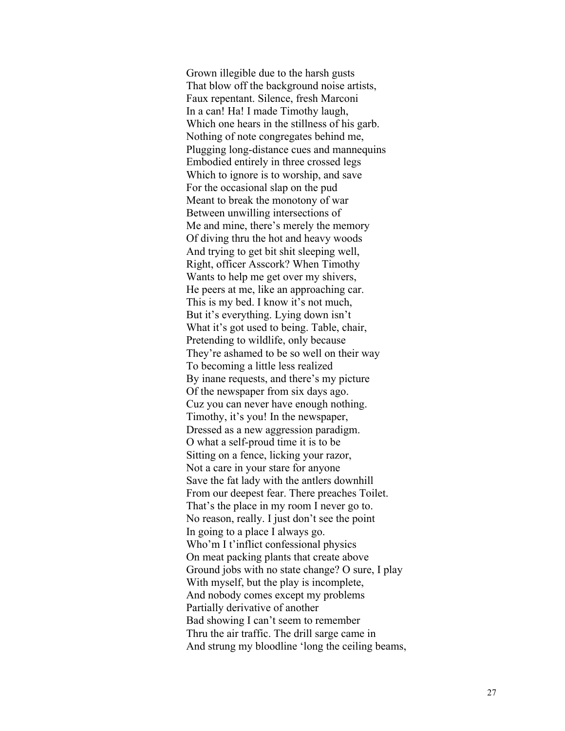Grown illegible due to the harsh gusts That blow off the background noise artists, Faux repentant. Silence, fresh Marconi In a can! Ha! I made Timothy laugh, Which one hears in the stillness of his garb. Nothing of note congregates behind me, Plugging long -distance cues and mannequins Embodied entirely in three crossed legs Which to ignore is to worship, and save For the occasional slap on the pud Meant to break the monotony of war Between unwilling intersections of Me and mine, there's merely the memory Of diving thru the hot and heavy woods And trying to get bit shit sleeping well, Right, officer Asscork? When Timothy Wants to help me get over my shivers, He peers at me, like an approaching car. This is my bed. I know it's not much, But it's everything. Lying down isn't What it's got used to being. Table, chair, Pretending to wildlife, only because They're ashamed to be so well on their way To becoming a little less realized By inane requests, and there's my picture Of the newspaper from six days ago. Cuz you can never have enough nothing. Timothy, it's you! In the newspaper, Dressed as a new aggression paradigm . O what a self-proud time it is to be Sitting on a fence, licking your razor, Not a care in your stare for anyone Save the fat lady with the antlers downhill From our deepest fear. There preaches Toilet. That's the place in my room I never go to. No reason, really. I just don't see the point In going to a place I always go . Who'm I t'inflic t confessional physics On meat packing plants that create above Ground jobs with no state change? O sure, I play With myself, but the play is incomplete, And nobody comes except my problems Partially derivative of another Bad showing I can't seem to remember Thru the air traffic. The drill sarge came in And strung my bloodline 'long the ceiling beams,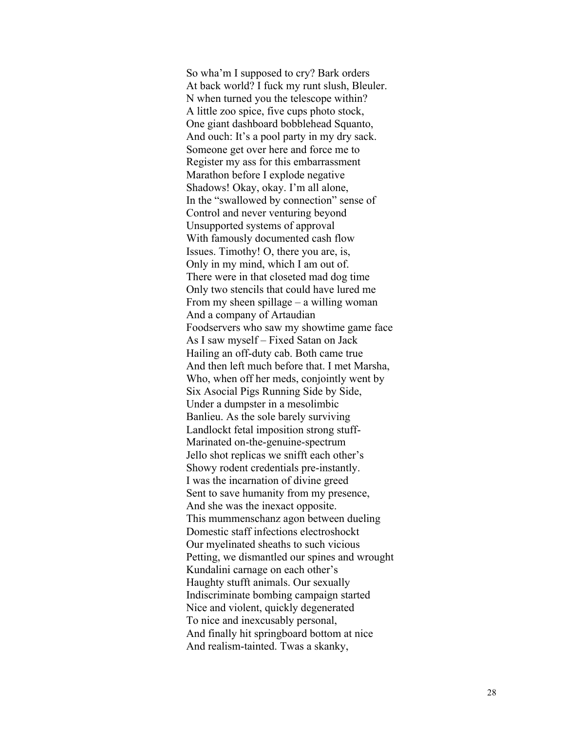So wha'm I supposed to cry? Bark orders At back world? I fuck my runt slush, Bleuler. N when turned you the telescope within? A little zoo spice, five cups photo stock, One giant dashboard bobblehead Squanto, And ouch: It's a pool party in my dry sack. Someone get over here and force me to Register my ass for this embarrassment Marathon before I explode negative Shadows! Okay, okay. I'm all alone, In the "swallowed by connection" sense of Control and never venturing beyond Unsupported systems of approval With famously documented cash flow Issues. Timothy! O, there you are, is, Only in my mind, which I am out of. There were in that closeted mad dog time Only two stencils that could have lured me From my sheen spillage – a willing woman And a company of Artaudian Foodservers who saw my showtime game face As I saw myself – Fixed Satan on Jack Hailing an off-duty cab. Both came true And then left much before that. I met Marsha, Who, when off her meds, conjointly went by Six Asocial Pigs Running Side by Side, Under a dumpster in a mesolimbic Banlieu. As the sole barely surviving Landlockt fetal imposition strong stuff-Marinated on-the-genuine-spectrum Jello shot replicas we snifft each other's Showy rodent credentials pre -instantly. I was the incarnation of divine greed Sent to save humanity from my presence, And she was the inexact opposite. This mummenschanz agon between dueling Domestic staff infections electroshock t Our myelinated sheaths to such vicious Petting, we dismantled our spines and wrought Kundalini carnage on each other's Haughty stufft animals. Our sexually Indiscriminate bombing campaign started Nice and violent, quickly degenerated To nice and inexcusably personal, And finally hit springboard bottom at nice And realism -tainted. Twas a skanky,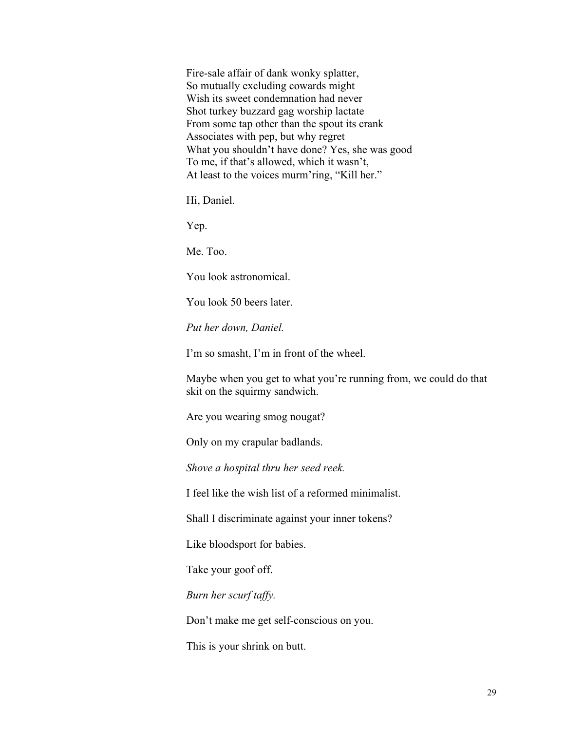Fire-sale affair of dank wonky splatter, So mutually excluding cowards might Wish its sweet condemnation had never Shot turkey buzzard gag worship lactate From some tap other than the spout its crank Associates with pep, but why regret What you shouldn't have done? Yes, she was good To me, if that's allowed, which it wasn't, At least to the voices murm'ring, "Kill her."

Hi, Daniel.

Yep.

Me. Too.

You look astronomical.

You look 50 beers later.

*Put her down, Daniel.*

I'm so smasht, I'm in front of the wheel.

Maybe when you get to what you're running from, we could do that skit on the squirmy sandwich.

Are you wearing smog nougat?

Only on my crapular badlands.

*Shove a hospital thru her seed reek.*

I feel like the wish list of a reformed minimalist.

Shall I discriminate against your inner tokens?

Like bloodsport for babies.

Take your goof off.

*Burn her scurf taffy.*

Don't make me get self-conscious on you.

This is your shrink on butt.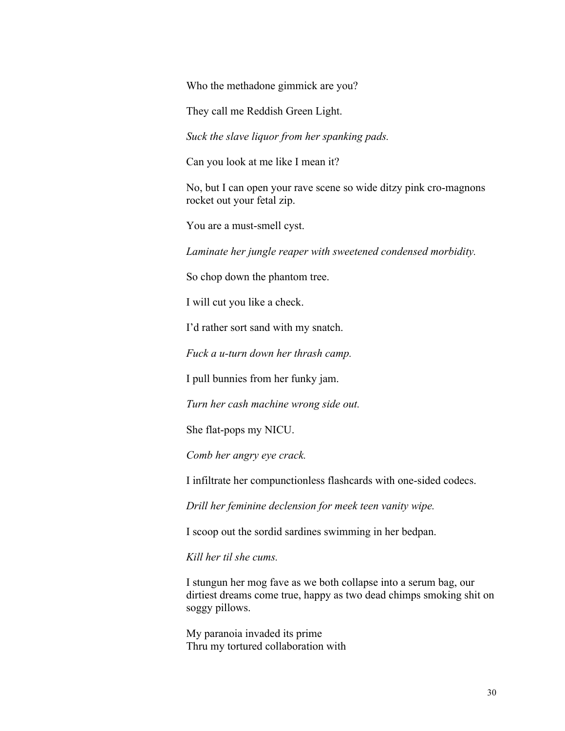Who the methadone gimmick are you?

They call me Reddish Green Light.

*Suck the slave liquor from her spanking pads.*

Can you look at me like I mean it?

No, but I can open your rave scene so wide ditzy pink cro-magnons rocket out your fetal zip.

You are a must-smell cyst.

*Laminate her jungle reaper with sweetened condensed morbidity.*

So chop down the phantom tree.

I will cut you like a check.

I'd rather sort sand with my snatch.

*Fuck a u-turn down her thrash camp.*

I pull bunnies from her funky jam.

*Turn her cash machine wrong side out.*

She flat-pops my NICU.

*Comb her angry eye crack.*

I infiltrate her compunctionless flashcards with one-sided codecs.

*Drill her feminine declension for meek teen vanity wipe.*

I scoop out the sordid sardines swimming in her bedpan.

*Kill her til she cums.*

I stungun her mog fave as we both collapse into a serum bag, our dirtiest dreams come true, happy as two dead chimps smoking shit on soggy pillows.

My paranoia invaded its prime Thru my tortured collaboration with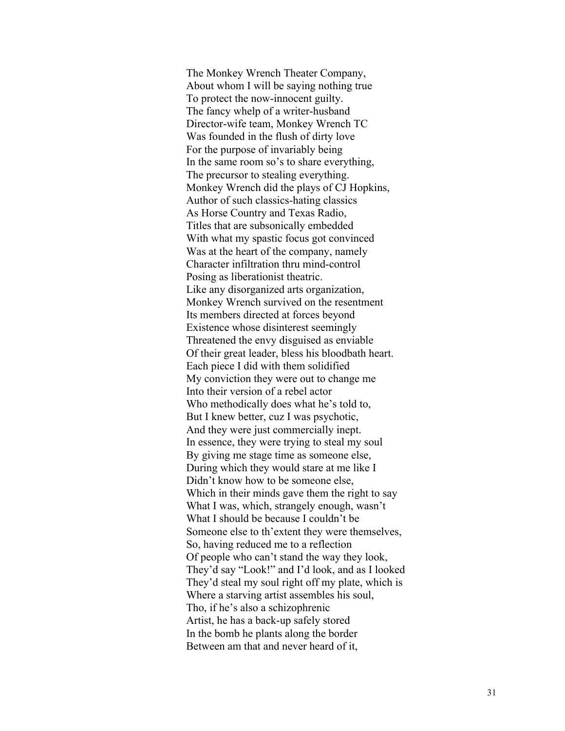The Monkey Wrench Theater Company, About whom I will be saying nothing true To protect the now -innocent guilty. The fancy whelp of a writer -husband Director -wife team, Monkey Wrench TC Was founded in the flush of dirty love For the purpose of invariably being In the same room so's to share everything, The precursor to stealing everything. Monkey Wrench did the plays of CJ Hopkins, Author of such classics -hating classics As Horse Country and Texas Radio, Titles that are subsonically embedded With what my spastic focus got convinced Was at the heart of the company, namely Character infiltration thru mind -control Posing as liberationist theatric. Like any disorganized arts organization, Monkey Wrench survived on the resentment Its members directed at forces beyond Existence whose disinterest seemingly Threatened the envy disguised as enviable Of their great leader, bless his bloodbath heart. Each piece I did with them solidified My conviction they were out to change me Into their version of a rebel actor Who methodically does what he's told to , But I knew better, cuz I was psychotic, And they were just commercially inept. In essence, they were trying to steal my soul By giving me stage time as someone else, During which they would stare at me like I Didn't know how to be someone else, Which in their minds gave them the right to say What I was, which, strangely enough, wasn't What I should be because I couldn't be Someone else to th'extent they were themselves, So, having reduced me to a reflection Of people who can't stand the way they look, They'd say "Look!" and I'd look, and as I looked They'd steal my soul right off my plate, which is Where a starving artist assembles his soul, Tho, if he's also a schizophrenic Artist, he has a back -up safely stored In the bomb he plants along the border Between am that and never heard of it,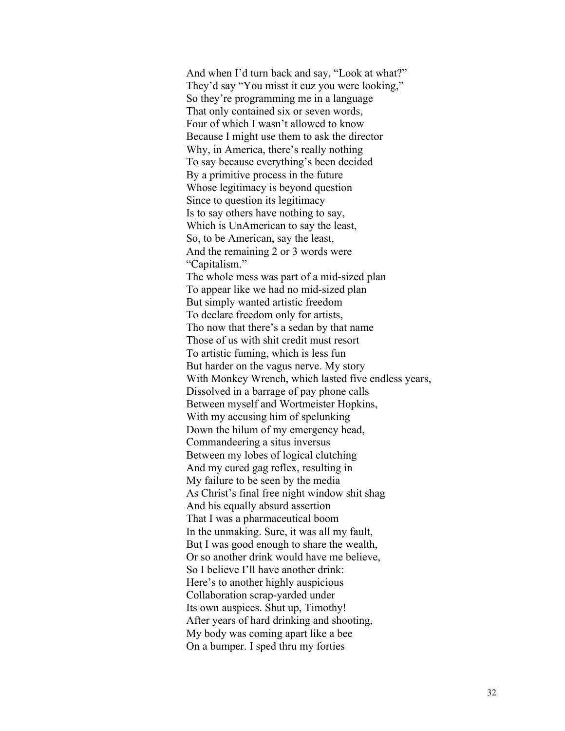And when I'd turn back and say, "Look at what?" They'd say "You misst it cuz you were looking," So they're programming me in a language That only contained six or seven words, Four of which I wasn't allowed to know Because I might use them to ask the director Why, in America, there's really nothing To say because everything's been decided By a primitive process in the future Whose legitimacy is beyond question Since to question its legitimacy Is to say others have nothing to say, Which is UnAmerican to say the least, So, to be American, say the least, And the remaining 2 or 3 words were "Capitalism." The whole mess was part of a mid-sized plan To appear like we had no mid-sized plan But simply wanted artistic freedom To declare freedom only for artists, Tho now that there's a sedan by that name Those of us with shit credit must resort To artistic fuming, which is less fun But harder on the vagus nerve. My story With Monkey Wrench, which lasted five endless years, Dissolved in a barrage of pay phone calls Between myself and Wortmeister Hopkins, With my accusing him of spelunking Down the hilum of my emergency head, Commandeering a situs inversus Between my lobes of logical clutching And my cured gag reflex, resulting in My failure to be seen by the media As Christ's final free night window shit shag And his equally absurd assertion That I was a pharmaceutical boom In the unmaking. Sure, it was all my fault, But I was good enough to share the wealth, Or so another drink would have me believe, So I believe I'll have another drink: Here's to another highly auspicious Collaboration scrap-yarded under Its own auspices. Shut up, Timothy! After years of hard drinking and shooting, My body was coming apart like a bee On a bumper. I sped thru my forties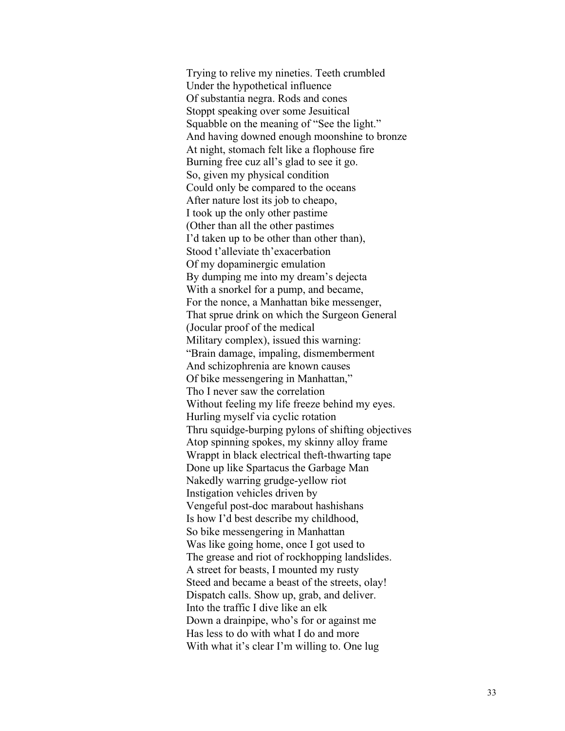Trying to relive my nineties. Teeth crumbled Under the hypothetical influence Of substantia negra. Rods and cones Stoppt speaking over some Jesuitical Squabble on the meaning of "See the light." And having downed enough moonshine to bronze At night, stomach felt like a flophouse fire Burning free cuz all's glad to see it go. So, given my physical condition Could only be compared to the oceans After nature lost its job to cheapo, I took up the only other pastime (Other than all the other pastimes I'd taken up to be other than other than), Stood t'alleviate th'exacerbation Of my dopaminergic emulation By dumping me into my dream's dejecta With a snorkel for a pump, and became, For the nonce, a Manhattan bike messenger, That sprue drink on which the Surgeon General (Jocular proof of the medical Military complex), issued this warning: "Brain damage, impaling, dismemberment And schizophrenia are known causes Of bike messengering in Manhattan," Tho I never saw the correlation Without feeling my life freeze behind my eyes. Hurling myself via cyclic rotation Thru squidge-burping pylons of shifting objectives Atop spinning spokes, my skinny alloy frame Wrappt in black electrical theft-thwarting tape Done up like Spartacus the Garbage Man Nakedly warring grudge-yellow riot Instigation vehicles driven by Vengeful post-doc marabout hashishans Is how I'd best describe my childhood, So bike messengering in Manhattan Was like going home, once I got used to The grease and riot of rockhopping landslides. A street for beasts, I mounted my rusty Steed and became a beast of the streets, olay! Dispatch calls. Show up, grab, and deliver. Into the traffic I dive like an elk Down a drainpipe, who's for or against me Has less to do with what I do and more With what it's clear I'm willing to. One lug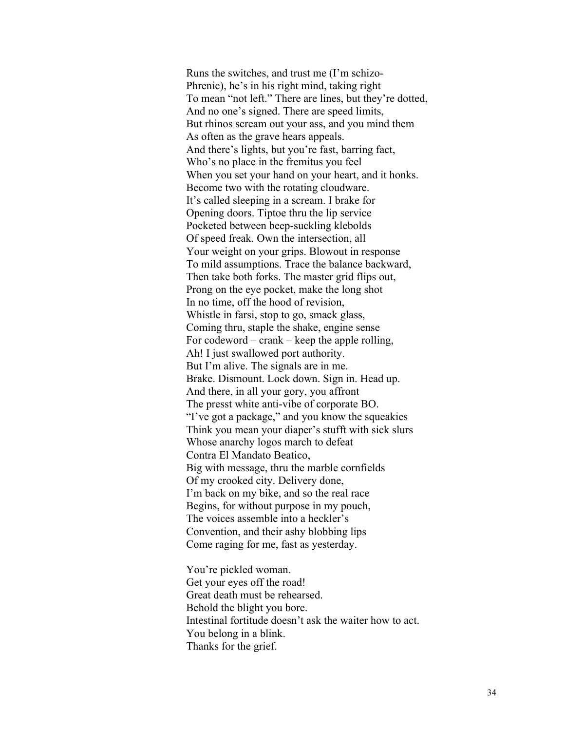Runs the switches, and trust me (I'm schizo-Phrenic), he's in his right mind, taking right To mean "not left." There are lines, but they're dotted, And no one's signed. There are speed limits, But rhinos scream out your ass, and you mind them As often as the grave hears appeals. And there's lights, but you're fast, barring fact, Who's no place in the fremitus you feel When you set your hand on your heart, and it honks. Become two with the rotating cloudware. It's called sleeping in a scream. I brake for Opening doors. Tiptoe thru the lip service Pocketed between beep-suckling klebolds Of speed freak. Own the intersection, all Your weight on your grips. Blowout in response To mild assumptions. Trace the balance backward, Then take both forks. The master grid flips out, Prong on the eye pocket, make the long shot In no time, off the hood of revision, Whistle in farsi, stop to go, smack glass, Coming thru, staple the shake, engine sense For codeword – crank – keep the apple rolling, Ah! I just swallowed port authority. But I'm alive. The signals are in me. Brake. Dismount. Lock down. Sign in. Head up. And there, in all your gory, you affront The presst white anti-vibe of corporate BO. "I've got a package," and you know the squeakies Think you mean your diaper's stufft with sick slurs Whose anarchy logos march to defeat Contra El Mandato Beatico, Big with message, thru the marble cornfields Of my crooked city. Delivery done, I'm back on my bike, and so the real race Begins, for without purpose in my pouch, The voices assemble into a heckler's Convention, and their ashy blobbing lips Come raging for me, fast as yesterday.

You're pickled woman. Get your eyes off the road! Great death must be rehearsed. Behold the blight you bore. Intestinal fortitude doesn't ask the waiter how to act. You belong in a blink. Thanks for the grief.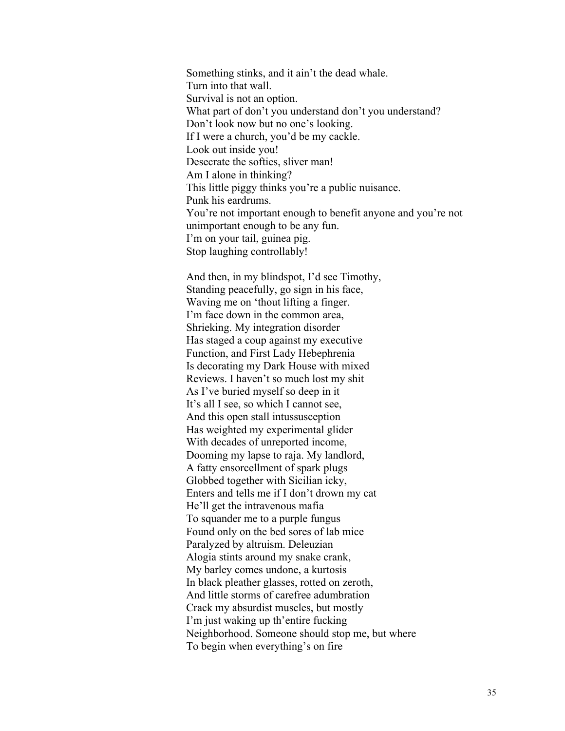Something stinks, and it ain't the dead whale. Turn into that wall. Survival is not an option. What part of don't you understand don't you understand? Don't look now but no one's looking. If I were a church, you'd be my cackle. Look out inside you! Desecrate the softies, sliver man! Am I alone in thinking? This little piggy thinks you're a public nuisance. Punk his eardrums. You're not important enough to benefit anyone and you're not unimportant enough to be any fun. I'm on your tail, guinea pig. Stop laughing controllably!

And then, in my blindspot, I'd see Timothy, Standing peacefully, go sign in his face, Waving me on 'thout lifting a finger. I'm face down in the common area, Shrieking. My integration disorder Has staged a coup against my executive Function, and First Lady Hebephrenia Is decorating my Dark House with mixed Reviews. I haven't so much lost my shit As I've buried myself so deep in it It's all I see, so which I cannot see, And this open stall intussusception Has weighted my experimental glider With decades of unreported income, Dooming my lapse to raja. My landlord, A fatty ensorcellment of spark plugs Globbed together with Sicilian icky, Enters and tells me if I don't drown my cat He'll get the intravenous mafia To squander me to a purple fungus Found only on the bed sores of lab mice Paralyzed by altruism. Deleuzian Alogia stints around my snake crank, My barley comes undone, a kurtosis In black pleather glasses, rotted on zeroth, And little storms of carefree adumbration Crack my absurdist muscles, but mostly I'm just waking up th'entire fucking Neighborhood. Someone should stop me, but where To begin when everything's on fire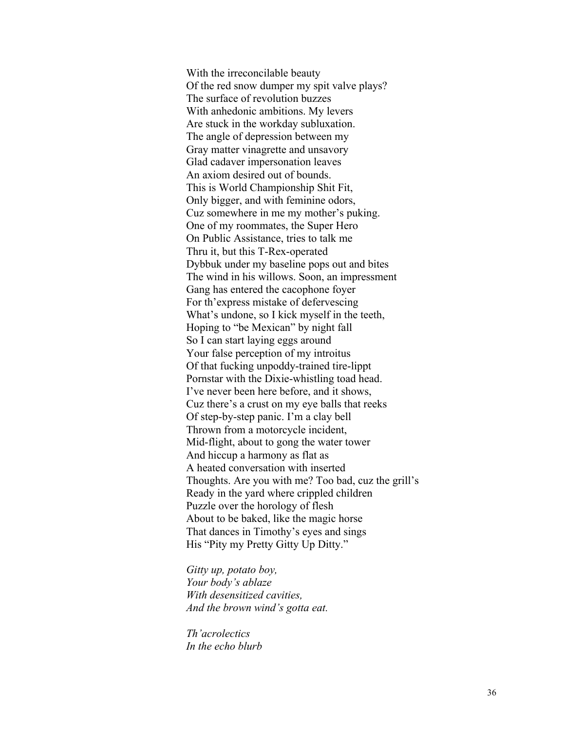With the irreconcilable beauty Of the red snow dumper my spit valve plays? The surface of revolution buzzes With anhedonic ambitions. My levers Are stuck in the workday subluxation. The angle of depression between my Gray matter vinagrette and unsavory Glad cadaver impersonation leaves An axiom desired out of bounds. This is World Championship Shit Fit, Only bigger, and with feminine odors, Cuz somewhere in me my mother's puking. One of my roommates, the Super Hero On Public Assistance, tries to talk me Thru it, but this T-Rex-operated Dybbuk under my baseline pops out and bites The wind in his willows. Soon, an impressment Gang has entered the cacophone foyer For th'express mistake of defervescing What's undone, so I kick myself in the teeth, Hoping to "be Mexican" by night fall So I can start laying eggs around Your false perception of my introitus Of that fucking unpoddy-trained tire-lippt Pornstar with the Dixie-whistling toad head. I've never been here before, and it shows, Cuz there's a crust on my eye balls that reeks Of step-by-step panic. I'm a clay bell Thrown from a motorcycle incident, Mid-flight, about to gong the water tower And hiccup a harmony as flat as A heated conversation with inserted Thoughts. Are you with me? Too bad, cuz the grill's Ready in the yard where crippled children Puzzle over the horology of flesh About to be baked, like the magic horse That dances in Timothy's eyes and sings His "Pity my Pretty Gitty Up Ditty."

*Gitty up, potato boy, Your body's ablaze With desensitized cavities, And the brown wind's gotta eat.*

*Th'acrolectics In the echo blurb*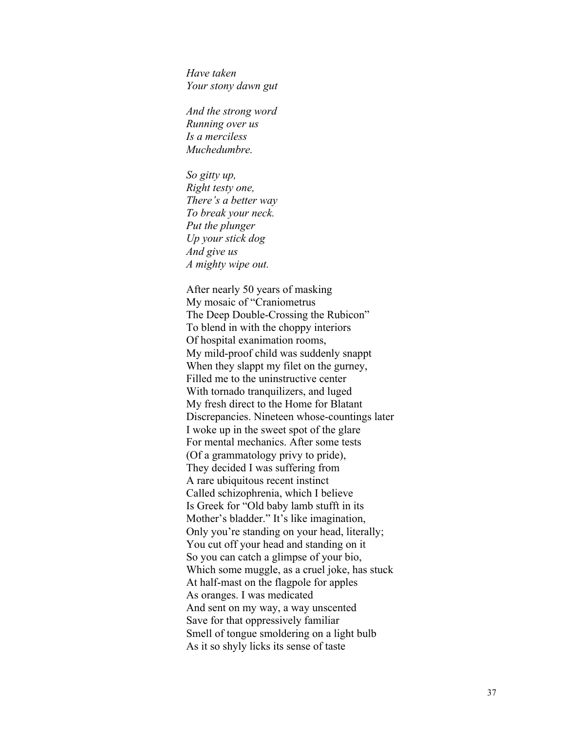*Have taken Your stony dawn gut*

*And the strong word Running over us Is a merciless Muchedumbre.*

*So gitty up, Right testy one, There's a better way To break your neck. Put the plunger Up your stick dog And give us A mighty wipe out.*

After nearly 50 years of masking My mosaic of "Craniometrus The Deep Double-Crossing the Rubicon" To blend in with the choppy interiors Of hospital exanimation rooms, My mild-proof child was suddenly snappt When they slappt my filet on the gurney, Filled me to the uninstructive center With tornado tranquilizers, and luged My fresh direct to the Home for Blatant Discrepancies. Nineteen whose-countings later I woke up in the sweet spot of the glare For mental mechanics. After some tests (Of a grammatology privy to pride), They decided I was suffering from A rare ubiquitous recent instinct Called schizophrenia, which I believe Is Greek for "Old baby lamb stufft in its Mother's bladder." It's like imagination, Only you're standing on your head, literally; You cut off your head and standing on it So you can catch a glimpse of your bio, Which some muggle, as a cruel joke, has stuck At half-mast on the flagpole for apples As oranges. I was medicated And sent on my way, a way unscented Save for that oppressively familiar Smell of tongue smoldering on a light bulb As it so shyly licks its sense of taste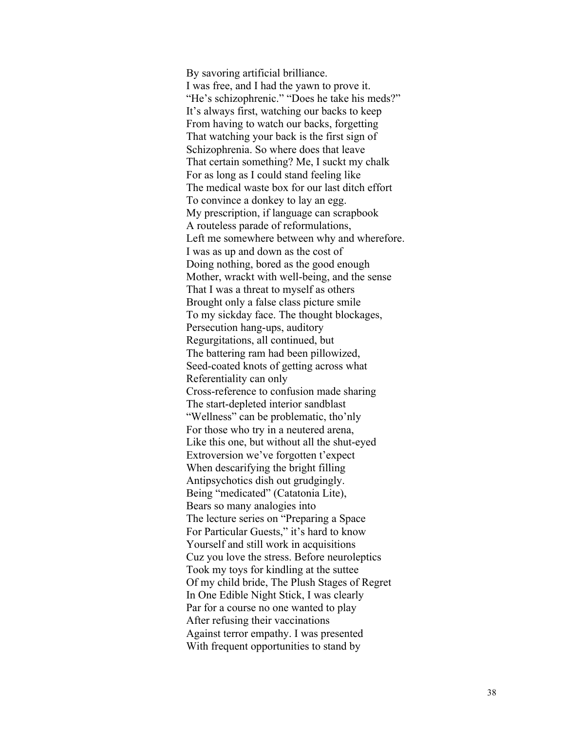By savoring artificial brilliance. I was free, and I had the yawn to prove it. "He's schizophrenic." "Does he take his meds?" It's always first, watching our backs to keep From having to watch our backs, forgetting That watching your back is the first sign of Schizophrenia. So where does that leave That certain something? Me, I suckt my chalk For as long as I could stand feeling like The medical waste box for our last ditch effort To convince a donkey to lay an egg. My prescription, if language can scrapbook A routeless parade of reformulations, Left me somewhere between why and wherefore. I was as up and down as the cost of Doing nothing, bored as the good enough Mother, wrackt with well -being, and the sense That I was a threat to myself as others Brought only a false class picture smile To my sickday face. The thought blockages, Persecution hang-ups, auditory Regurgitations, all continued, but The battering ram had been pillowized, Seed -coated knots of getting across what Referentiality can only Cross -reference to confusion made sharing The start -depleted interior sandblast "Wellness" can be problematic, tho'nly For those who try in a neutered arena, Like this one, but without all the shut -eyed Extroversion we've forgotten t'expect When descarifying the bright filling Antipsychotics dish out grudgingly. Being "medicated" (Catatonia Lite), Bears so many analogies into The lecture series on "Preparing a Space For Particular Guests," it's hard to know Yourself and still work in acquisitions Cuz you love the stress. Before neuroleptics Took my toys for kindling at the suttee Of my child bride, The Plush Stages of Regret In One Edible Night Stick, I was clearly Par for a course no one wanted to play After refusing their vaccinations Against terror empathy. I was presented With frequent opportunities to stand by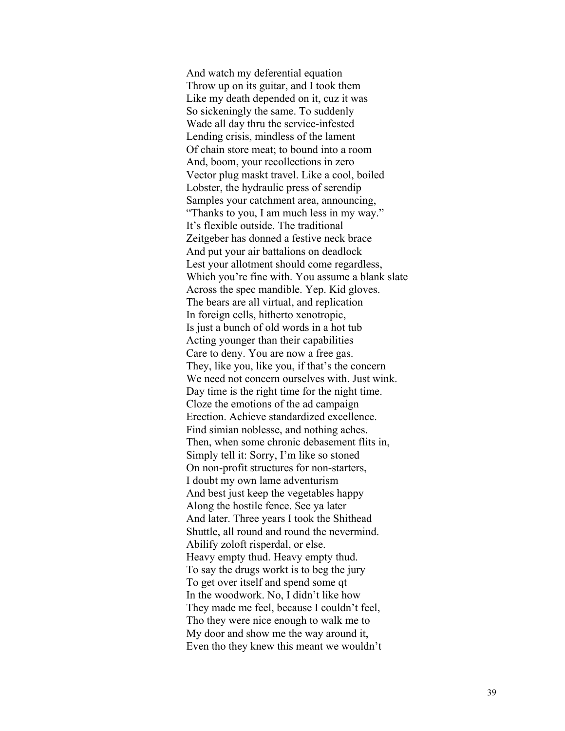And watch my deferential equation Throw up on its guitar, and I took them Like my death depended on it, cuz it was So sickeningly the same. To suddenly Wade all day thru the service-infested Lending crisis, mindless of the lament Of chain store meat; to bound into a room And, boom, your recollections in zero Vector plug maskt travel. Like a cool, boiled Lobster, the hydraulic press of serendip Samples your catchment area, announcing, "Thanks to you, I am much less in my way." It's flexible outside. The traditional Zeitgeber has donned a festive neck brace And put your air battalions on deadlock Lest your allotment should come regardless, Which you're fine with. You assume a blank slate Across the spec mandible. Yep. Kid gloves. The bears are all virtual, and replication In foreign cells, hitherto xenotropic, Is just a bunch of old words in a hot tub Acting younger than their capabilities Care to deny. You are now a free gas. They, like you, like you, if that's the concern We need not concern ourselves with. Just wink. Day time is the right time for the night time. Cloze the emotions of the ad campaign Erection. Achieve standardized excellence. Find simian noblesse, and nothing aches. Then, when some chronic debasement flits in, Simply tell it: Sorry, I'm like so stoned On non-profit structures for non-starters, I doubt my own lame adventurism And best just keep the vegetables happy Along the hostile fence. See ya later And later. Three years I took the Shithead Shuttle, all round and round the nevermind. Abilify zoloft risperdal, or else. Heavy empty thud. Heavy empty thud. To say the drugs workt is to beg the jury To get over itself and spend some qt In the woodwork. No, I didn't like how They made me feel, because I couldn't feel, Tho they were nice enough to walk me to My door and show me the way around it, Even tho they knew this meant we wouldn't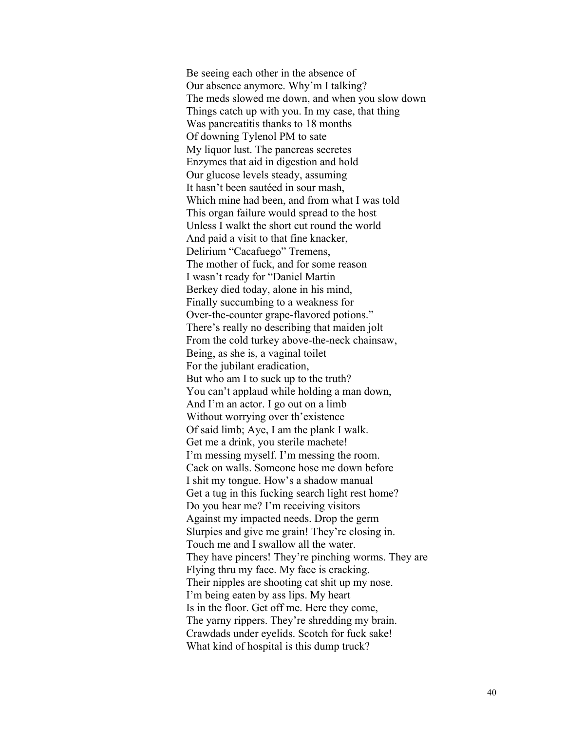Be seeing each other in the absence of Our absence anymore. Why'm I talking? The meds slowed me down, and when you slow down Things catch up with you. In my case, that thing Was pancreatitis thanks to 18 months Of downing Tylenol PM to sate My liquor lust. The pancreas secretes Enzymes that aid in digestion and hold Our glucose levels steady, assuming It hasn't been sautéed in sour mash, Which mine had been, and from what I was told This organ failure would spread to the host Unless I walkt the short cut round the world And paid a visit to that fine knacker, Delirium "Cacafuego" Tremens, The mother of fuck, and for some reason I wasn't ready for "Daniel Martin Berkey died today, alone in his mind, Finally succumbing to a weakness for Over-the-counter grape-flavored potions." There's really no describing that maiden jolt From the cold turkey above-the-neck chainsaw, Being, as she is, a vaginal toilet For the jubilant eradication, But who am I to suck up to the truth? You can't applaud while holding a man down, And I'm an actor. I go out on a limb Without worrying over th'existence Of said limb; Aye, I am the plank I walk. Get me a drink, you sterile machete! I'm messing myself. I'm messing the room. Cack on walls. Someone hose me down before I shit my tongue. How's a shadow manual Get a tug in this fucking search light rest home? Do you hear me? I'm receiving visitors Against my impacted needs. Drop the germ Slurpies and give me grain! They're closing in. Touch me and I swallow all the water. They have pincers! They're pinching worms. They are Flying thru my face. My face is cracking. Their nipples are shooting cat shit up my nose. I'm being eaten by ass lips. My heart Is in the floor. Get off me. Here they come, The yarny rippers. They're shredding my brain. Crawdads under eyelids. Scotch for fuck sake! What kind of hospital is this dump truck?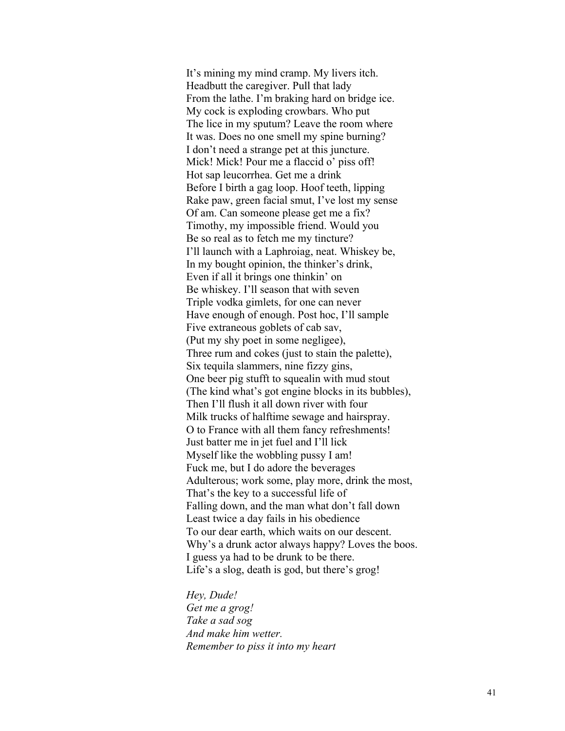It's mining my mind cramp. My livers itch. Headbutt the caregiver. Pull that lady From the lathe. I'm braking hard on bridge ice. My cock is exploding crowbars. Who put The lice in my sputum? Leave the room where It was. Does no one smell my spine burning? I don't need a strange pet at this juncture. Mick! Mick! Pour me a flaccid o' piss off! Hot sap leucorrhea. Get me a drink Before I birth a gag loop. Hoof teeth, lipping Rake paw, green facial smut, I've lost my sense Of am. Can someone please get me a fix? Timothy, my impossible friend. Would you Be so real as to fetch me my tincture? I'll launch with a Laphroiag, neat. Whiskey be, In my bought opinion, the thinker's drink, Even if all it brings one thinkin' on Be whiskey. I'll season that with seven Triple vodka gimlets, for one can never Have enough of enough. Post hoc, I'll sample Five extraneous goblets of cab sav, (Put my shy poet in some negligee), Three rum and cokes (just to stain the palette), Six tequila slammers, nine fizzy gins, One beer pig stufft to squealin with mud stout (The kind what's got engine blocks in its bubbles), Then I'll flush it all down river with four Milk trucks of halftime sewage and hairspray. O to France with all them fancy refreshments! Just batter me in jet fuel and I'll lick Myself like the wobbling pussy I am! Fuck me, but I do adore the beverages Adulterous; work some, play more, drink the most, That's the key to a successful life of Falling down, and the man what don't fall down Least twice a day fails in his obedience To our dear earth, which waits on our descent. Why's a drunk actor always happy? Loves the boos. I guess ya had to be drunk to be there. Life's a slog, death is god, but there's grog!

*Hey, Dude! Get me a grog! Take a sad sog And make him wetter. Remember to piss it into my heart*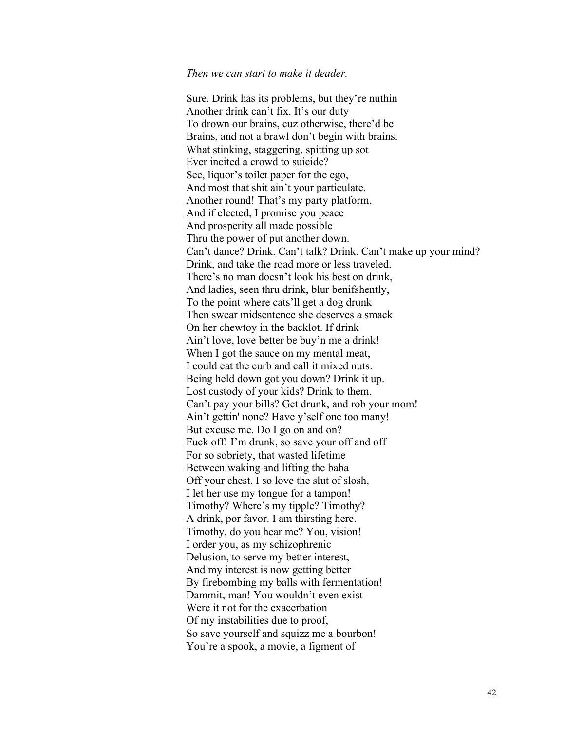## *Then we can start to make it deader.*

Sure. Drink has its problems, but they're nuthin Another drink can't fix. It's our duty To drown our brains, cuz otherwise, there'd be Brains, and not a brawl don't begin with brains. What stinking, staggering, spitting up sot Ever incited a crowd to suicide? See, liquor's toilet paper for the ego, And most that shit ain't your particulate. Another round! That's my party platform, And if elected, I promise you peace And prosperity all made possible Thru the power of put another down. Can't dance? Drink. Can't talk? Drink. Can't make up your mind? Drink, and take the road more or less traveled. There's no man doesn't look his best on drink, And ladies, seen thru drink, blur benifshently, To the point where cats'll get a dog drunk Then swear midsentence she deserves a smack On her chewtoy in the backlot. If drink Ain't love, love better be buy'n me a drink! When I got the sauce on my mental meat, I could eat the curb and call it mixed nuts. Being held down got you down? Drink it up. Lost custody of your kids? Drink to them. Can't pay your bills? Get drunk, and rob your mom! Ain't gettin' none? Have y'self one too many! But excuse me. Do I go on and on? Fuck off! I'm drunk, so save your off and off For so sobriety, that wasted lifetime Between waking and lifting the baba Off your chest. I so love the slut of slosh, I let her use my tongue for a tampon! Timothy? Where's my tipple? Timothy? A drink, por favor. I am thirsting here. Timothy, do you hear me? You, vision! I order you, as my schizophrenic Delusion, to serve my better interest, And my interest is now getting better By firebombing my balls with fermentation! Dammit, man! You wouldn't even exist Were it not for the exacerbation Of my instabilities due to proof, So save yourself and squizz me a bourbon! You're a spook, a movie, a figment of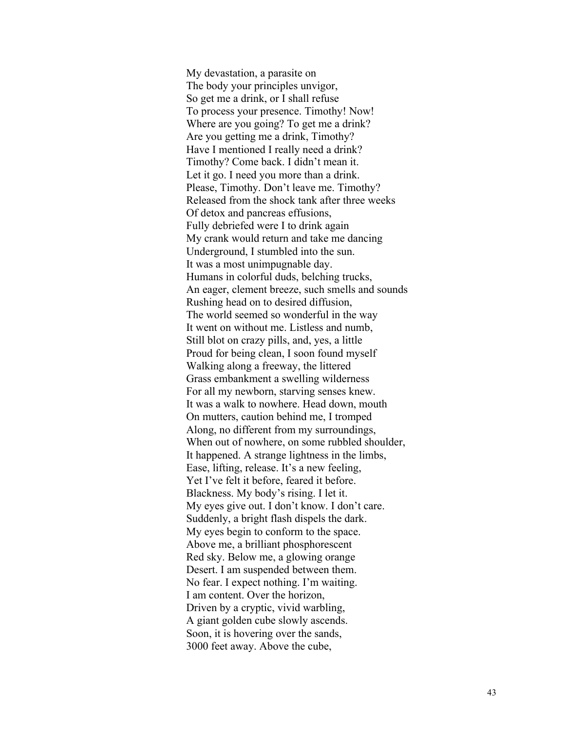My devastation, a parasite on The body your principles unvigor, So get me a drink, or I shall refuse To process your presence. Timothy! Now! Where are you going? To get me a drink? Are you getting me a drink, Timothy? Have I mentioned I really need a drink? Timothy? Come back. I didn't mean it. Let it go. I need you more than a drink. Please, Timothy. Don't leave me. Timothy? Released from the shock tank after three weeks Of detox and pancreas effusions, Fully debriefed were I to drink again My crank would return and take me dancing Underground, I stumbled into the sun. It was a most unimpugnable day. Humans in colorful duds, belching trucks, An eager, clement breeze, such smells and sounds Rushing head on to desired diffusion, The world seemed so wonderful in the way It went on without me. Listless and numb, Still blot on crazy pills, and, yes, a little Proud for being clean, I soon found myself Walking along a freeway, the littered Grass embankment a swelling wilderness For all my newborn, starving senses knew. It was a walk to nowhere. Head down, mouth On mutters, caution behind me, I tromped Along, no different from my surroundings, When out of nowhere, on some rubbled shoulder, It happened. A strange lightness in the limbs, Ease, lifting, release. It's a new feeling, Yet I've felt it before, feared it before. Blackness. My body's rising. I let it. My eyes give out. I don't know. I don't care. Suddenly, a bright flash dispels the dark. My eyes begin to conform to the space. Above me, a brilliant phosphorescent Red sky. Below me, a glowing orange Desert. I am suspended between them. No fear. I expect nothing. I'm waiting. I am content. Over the horizon, Driven by a cryptic, vivid warbling, A giant golden cube slowly ascends. Soon, it is hovering over the sands, 3000 feet away. Above the cube,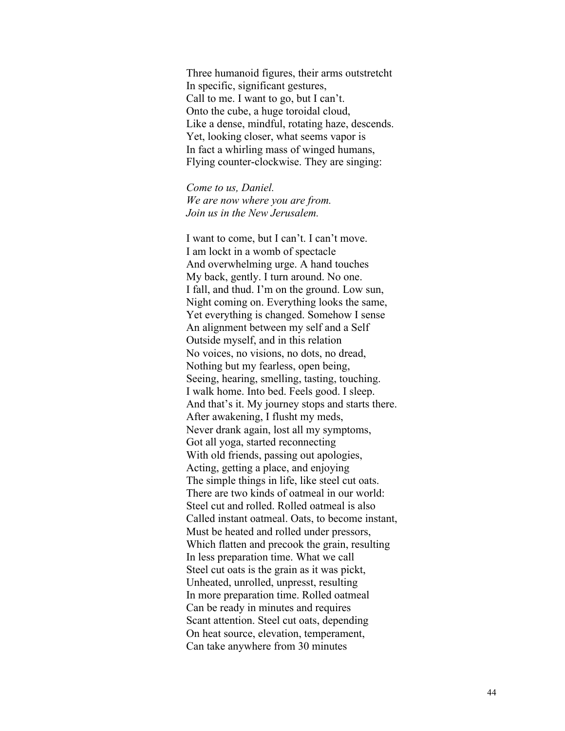Three humanoid figures, their arms outstretcht In specific, significant gestures, Call to me. I want to go, but I can't. Onto the cube, a huge toroidal cloud, Like a dense, mindful, rotating haze, descends. Yet, looking closer, what seems vapor is In fact a whirling mass of winged humans, Flying counter-clockwise. They are singing:

*Come to us, Daniel. We are now where you are from. Join us in the New Jerusalem.*

I want to come, but I can't. I can't move. I am lockt in a womb of spectacle And overwhelming urge. A hand touches My back, gently. I turn around. No one. I fall, and thud. I'm on the ground. Low sun, Night coming on. Everything looks the same, Yet everything is changed. Somehow I sense An alignment between my self and a Self Outside myself, and in this relation No voices, no visions, no dots, no dread, Nothing but my fearless, open being, Seeing, hearing, smelling, tasting, touching. I walk home. Into bed. Feels good. I sleep. And that's it. My journey stops and starts there. After awakening, I flusht my meds, Never drank again, lost all my symptoms, Got all yoga, started reconnecting With old friends, passing out apologies, Acting, getting a place, and enjoying The simple things in life, like steel cut oats. There are two kinds of oatmeal in our world: Steel cut and rolled. Rolled oatmeal is also Called instant oatmeal. Oats, to become instant, Must be heated and rolled under pressors, Which flatten and precook the grain, resulting In less preparation time. What we call Steel cut oats is the grain as it was pickt, Unheated, unrolled, unpresst, resulting In more preparation time. Rolled oatmeal Can be ready in minutes and requires Scant attention. Steel cut oats, depending On heat source, elevation, temperament, Can take anywhere from 30 minutes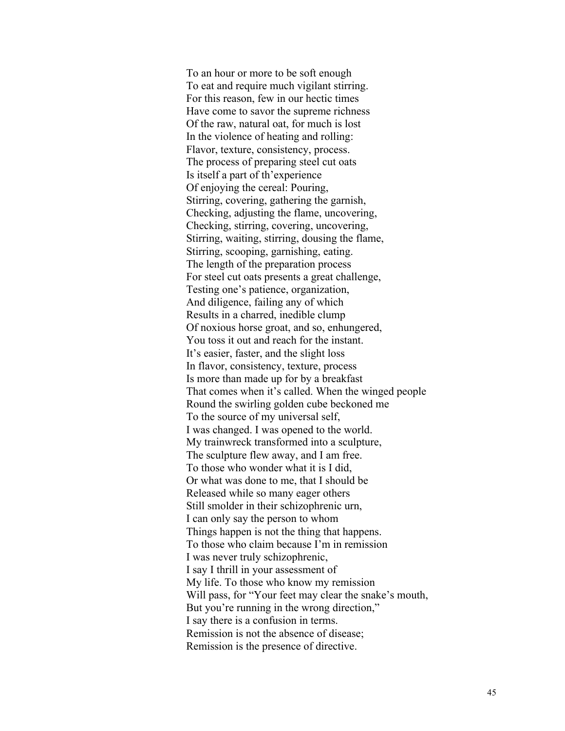To an hour or more to be soft enough To eat and require much vigilant stirring. For this reason, few in our hectic times Have come to savor the supreme richness Of the raw, natural oat, for much is lost In the violence of heating and rolling: Flavor, texture, consistency, process. The process of preparing steel cut oats Is itself a part of th'experience Of enjoying the cereal: Pouring, Stirring, covering, gathering the garnish, Checking, adjusting the flame, uncovering, Checking, stirring, covering, uncovering, Stirring, waiting, stirring, dousing the flame, Stirring, scooping, garnishing, eating. The length of the preparation process For steel cut oats presents a great challenge, Testing one's patience, organization, And diligence, failing any of which Results in a charred, inedible clump Of noxious horse groat, and so, enhungered, You toss it out and reach for the instant. It's easier, faster, and the slight loss In flavor, consistency, texture, process Is more than made up for by a breakfast That comes when it's called. When the winged people Round the swirling golden cube beckoned me To the source of my universal self, I was changed. I was opened to the world. My trainwreck transformed into a sculpture, The sculpture flew away, and I am free. To those who wonder what it is I did, Or what was done to me, that I should be Released while so many eager others Still smolder in their schizophrenic urn, I can only say the person to whom Things happen is not the thing that happens. To those who claim because I'm in remission I was never truly schizophrenic, I say I thrill in your assessment of My life. To those who know my remission Will pass, for "Your feet may clear the snake's mouth, But you're running in the wrong direction," I say there is a confusion in terms. Remission is not the absence of disease; Remission is the presence of directive.